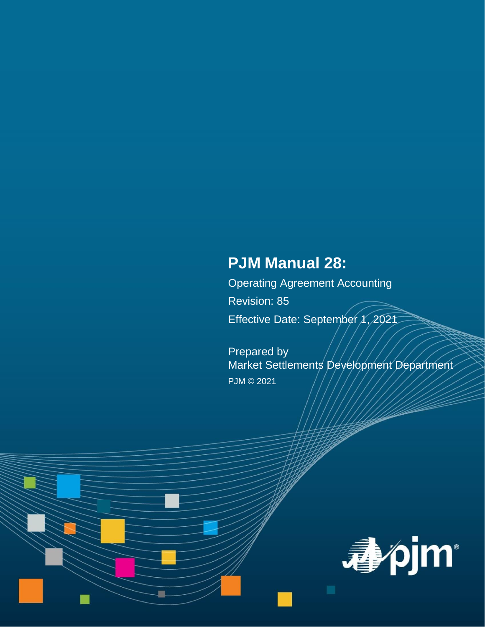# **PJM Manual 28:**

Operating Agreement Accounting Revision: 85 Effective Date: September 1, 2021

Prepared by Market Settlements Development Department PJM © 2021

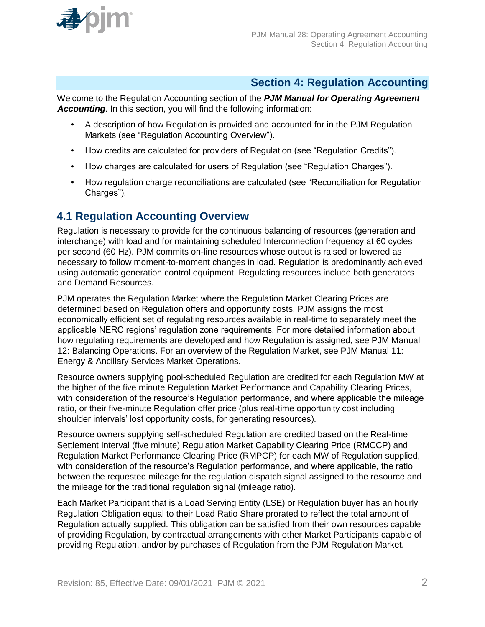

# **Section 4: Regulation Accounting**

Welcome to the Regulation Accounting section of the *PJM Manual for Operating Agreement Accounting*. In this section, you will find the following information:

- A description of how Regulation is provided and accounted for in the PJM Regulation Markets (see "Regulation Accounting Overview").
- How credits are calculated for providers of Regulation (see "Regulation Credits").
- How charges are calculated for users of Regulation (see "Regulation Charges").
- How regulation charge reconciliations are calculated (see "Reconciliation for Regulation Charges").

# **4.1 Regulation Accounting Overview**

Regulation is necessary to provide for the continuous balancing of resources (generation and interchange) with load and for maintaining scheduled Interconnection frequency at 60 cycles per second (60 Hz). PJM commits on-line resources whose output is raised or lowered as necessary to follow moment-to-moment changes in load. Regulation is predominantly achieved using automatic generation control equipment. Regulating resources include both generators and Demand Resources.

PJM operates the Regulation Market where the Regulation Market Clearing Prices are determined based on Regulation offers and opportunity costs. PJM assigns the most economically efficient set of regulating resources available in real-time to separately meet the applicable NERC regions' regulation zone requirements. For more detailed information about how regulating requirements are developed and how Regulation is assigned, see PJM Manual 12: Balancing Operations. For an overview of the Regulation Market, see PJM Manual 11: Energy & Ancillary Services Market Operations.

Resource owners supplying pool-scheduled Regulation are credited for each Regulation MW at the higher of the five minute Regulation Market Performance and Capability Clearing Prices, with consideration of the resource's Regulation performance, and where applicable the mileage ratio, or their five-minute Regulation offer price (plus real-time opportunity cost including shoulder intervals' lost opportunity costs, for generating resources).

Resource owners supplying self-scheduled Regulation are credited based on the Real-time Settlement Interval (five minute) Regulation Market Capability Clearing Price (RMCCP) and Regulation Market Performance Clearing Price (RMPCP) for each MW of Regulation supplied, with consideration of the resource's Regulation performance, and where applicable, the ratio between the requested mileage for the regulation dispatch signal assigned to the resource and the mileage for the traditional regulation signal (mileage ratio).

Each Market Participant that is a Load Serving Entity (LSE) or Regulation buyer has an hourly Regulation Obligation equal to their Load Ratio Share prorated to reflect the total amount of Regulation actually supplied. This obligation can be satisfied from their own resources capable of providing Regulation, by contractual arrangements with other Market Participants capable of providing Regulation, and/or by purchases of Regulation from the PJM Regulation Market.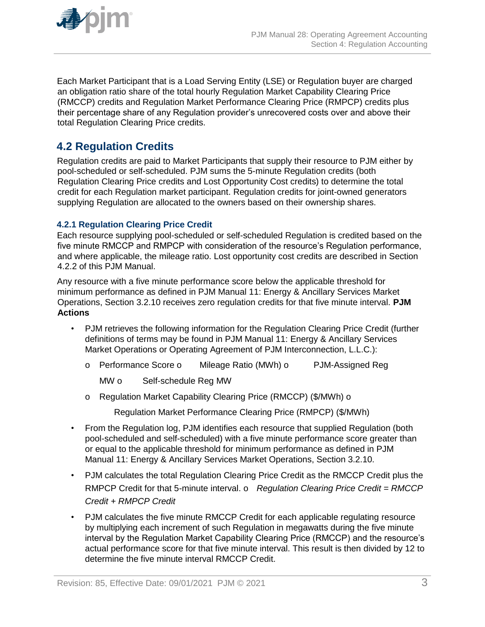

Each Market Participant that is a Load Serving Entity (LSE) or Regulation buyer are charged an obligation ratio share of the total hourly Regulation Market Capability Clearing Price (RMCCP) credits and Regulation Market Performance Clearing Price (RMPCP) credits plus their percentage share of any Regulation provider's unrecovered costs over and above their total Regulation Clearing Price credits.

# **4.2 Regulation Credits**

Regulation credits are paid to Market Participants that supply their resource to PJM either by pool-scheduled or self-scheduled. PJM sums the 5-minute Regulation credits (both Regulation Clearing Price credits and Lost Opportunity Cost credits) to determine the total credit for each Regulation market participant. Regulation credits for joint-owned generators supplying Regulation are allocated to the owners based on their ownership shares.

### **4.2.1 Regulation Clearing Price Credit**

Each resource supplying pool-scheduled or self-scheduled Regulation is credited based on the five minute RMCCP and RMPCP with consideration of the resource's Regulation performance, and where applicable, the mileage ratio. Lost opportunity cost credits are described in Section 4.2.2 of this PJM Manual.

Any resource with a five minute performance score below the applicable threshold for minimum performance as defined in PJM Manual 11: Energy & Ancillary Services Market Operations, Section 3.2.10 receives zero regulation credits for that five minute interval. **PJM Actions**

- PJM retrieves the following information for the Regulation Clearing Price Credit (further definitions of terms may be found in PJM Manual 11: Energy & Ancillary Services Market Operations or Operating Agreement of PJM Interconnection, L.L.C.):
	- o Performance Score o Mileage Ratio (MWh) o PJM-Assigned Reg

MW o Self-schedule Reg MW

o Regulation Market Capability Clearing Price (RMCCP) (\$/MWh) o

Regulation Market Performance Clearing Price (RMPCP) (\$/MWh)

- From the Regulation log, PJM identifies each resource that supplied Regulation (both pool-scheduled and self-scheduled) with a five minute performance score greater than or equal to the applicable threshold for minimum performance as defined in PJM Manual 11: Energy & Ancillary Services Market Operations, Section 3.2.10.
- PJM calculates the total Regulation Clearing Price Credit as the RMCCP Credit plus the RMPCP Credit for that 5-minute interval. o *Regulation Clearing Price Credit = RMCCP Credit + RMPCP Credit*
- PJM calculates the five minute RMCCP Credit for each applicable regulating resource by multiplying each increment of such Regulation in megawatts during the five minute interval by the Regulation Market Capability Clearing Price (RMCCP) and the resource's actual performance score for that five minute interval. This result is then divided by 12 to determine the five minute interval RMCCP Credit.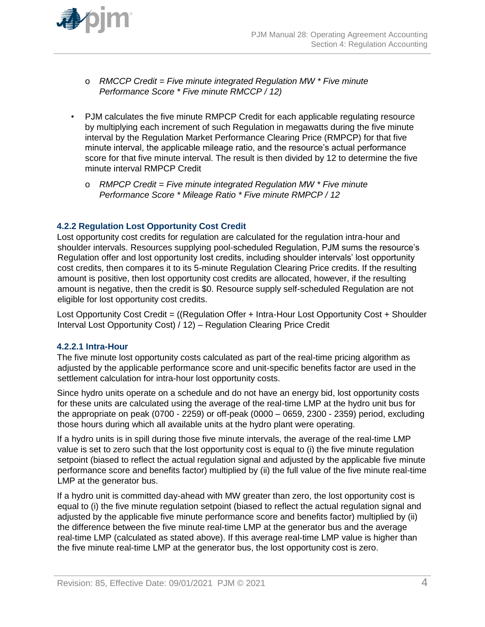

- o *RMCCP Credit = Five minute integrated Regulation MW \* Five minute Performance Score \* Five minute RMCCP / 12)*
- PJM calculates the five minute RMPCP Credit for each applicable regulating resource by multiplying each increment of such Regulation in megawatts during the five minute interval by the Regulation Market Performance Clearing Price (RMPCP) for that five minute interval, the applicable mileage ratio, and the resource's actual performance score for that five minute interval. The result is then divided by 12 to determine the five minute interval RMPCP Credit
	- o *RMPCP Credit = Five minute integrated Regulation MW \* Five minute Performance Score \* Mileage Ratio \* Five minute RMPCP / 12*

### **4.2.2 Regulation Lost Opportunity Cost Credit**

Lost opportunity cost credits for regulation are calculated for the regulation intra-hour and shoulder intervals. Resources supplying pool-scheduled Regulation, PJM sums the resource's Regulation offer and lost opportunity lost credits, including shoulder intervals' lost opportunity cost credits, then compares it to its 5-minute Regulation Clearing Price credits. If the resulting amount is positive, then lost opportunity cost credits are allocated, however, if the resulting amount is negative, then the credit is \$0. Resource supply self-scheduled Regulation are not eligible for lost opportunity cost credits.

Lost Opportunity Cost Credit = ((Regulation Offer + Intra-Hour Lost Opportunity Cost + Shoulder Interval Lost Opportunity Cost) / 12) – Regulation Clearing Price Credit

#### **4.2.2.1 Intra-Hour**

The five minute lost opportunity costs calculated as part of the real-time pricing algorithm as adjusted by the applicable performance score and unit-specific benefits factor are used in the settlement calculation for intra-hour lost opportunity costs.

Since hydro units operate on a schedule and do not have an energy bid, lost opportunity costs for these units are calculated using the average of the real-time LMP at the hydro unit bus for the appropriate on peak (0700 - 2259) or off-peak (0000 – 0659, 2300 - 2359) period, excluding those hours during which all available units at the hydro plant were operating.

If a hydro units is in spill during those five minute intervals, the average of the real-time LMP value is set to zero such that the lost opportunity cost is equal to (i) the five minute regulation setpoint (biased to reflect the actual regulation signal and adjusted by the applicable five minute performance score and benefits factor) multiplied by (ii) the full value of the five minute real-time LMP at the generator bus.

If a hydro unit is committed day-ahead with MW greater than zero, the lost opportunity cost is equal to (i) the five minute regulation setpoint (biased to reflect the actual regulation signal and adjusted by the applicable five minute performance score and benefits factor) multiplied by (ii) the difference between the five minute real-time LMP at the generator bus and the average real-time LMP (calculated as stated above). If this average real-time LMP value is higher than the five minute real-time LMP at the generator bus, the lost opportunity cost is zero.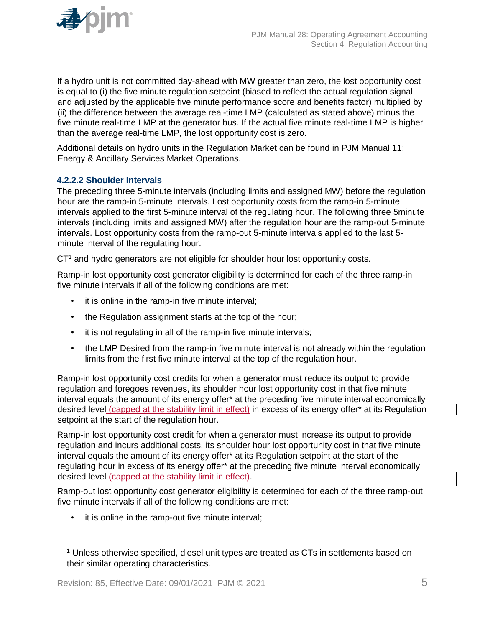

If a hydro unit is not committed day-ahead with MW greater than zero, the lost opportunity cost is equal to (i) the five minute regulation setpoint (biased to reflect the actual regulation signal and adjusted by the applicable five minute performance score and benefits factor) multiplied by (ii) the difference between the average real-time LMP (calculated as stated above) minus the five minute real-time LMP at the generator bus. If the actual five minute real-time LMP is higher than the average real-time LMP, the lost opportunity cost is zero.

Additional details on hydro units in the Regulation Market can be found in PJM Manual 11: Energy & Ancillary Services Market Operations.

### **4.2.2.2 Shoulder Intervals**

The preceding three 5-minute intervals (including limits and assigned MW) before the regulation hour are the ramp-in 5-minute intervals. Lost opportunity costs from the ramp-in 5-minute intervals applied to the first 5-minute interval of the regulating hour. The following three 5minute intervals (including limits and assigned MW) after the regulation hour are the ramp-out 5-minute intervals. Lost opportunity costs from the ramp-out 5-minute intervals applied to the last 5 minute interval of the regulating hour.

 $CT<sup>1</sup>$  and hydro generators are not eligible for shoulder hour lost opportunity costs.

Ramp-in lost opportunity cost generator eligibility is determined for each of the three ramp-in five minute intervals if all of the following conditions are met:

- it is online in the ramp-in five minute interval;
- the Regulation assignment starts at the top of the hour;
- it is not regulating in all of the ramp-in five minute intervals;
- the LMP Desired from the ramp-in five minute interval is not already within the regulation limits from the first five minute interval at the top of the regulation hour.

Ramp-in lost opportunity cost credits for when a generator must reduce its output to provide regulation and foregoes revenues, its shoulder hour lost opportunity cost in that five minute interval equals the amount of its energy offer\* at the preceding five minute interval economically desired level (capped at the stability limit in effect) in excess of its energy offer\* at its Regulation setpoint at the start of the regulation hour.

Ramp-in lost opportunity cost credit for when a generator must increase its output to provide regulation and incurs additional costs, its shoulder hour lost opportunity cost in that five minute interval equals the amount of its energy offer\* at its Regulation setpoint at the start of the regulating hour in excess of its energy offer\* at the preceding five minute interval economically desired level (capped at the stability limit in effect).

Ramp-out lost opportunity cost generator eligibility is determined for each of the three ramp-out five minute intervals if all of the following conditions are met:

• it is online in the ramp-out five minute interval;

 $\overline{a}$ 

<sup>&</sup>lt;sup>1</sup> Unless otherwise specified, diesel unit types are treated as CTs in settlements based on their similar operating characteristics.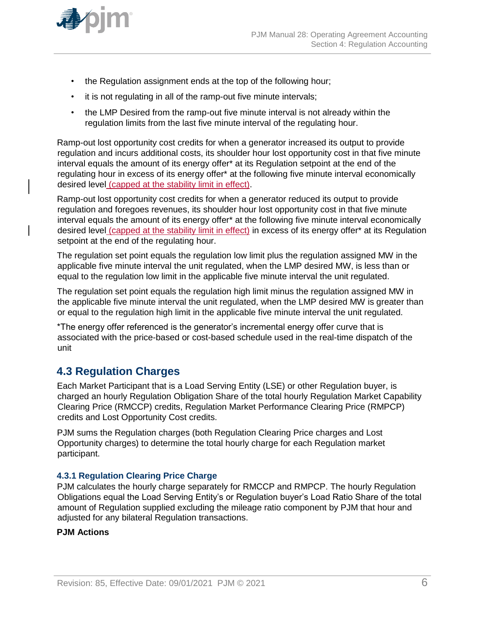

- the Regulation assignment ends at the top of the following hour;
- it is not regulating in all of the ramp-out five minute intervals;
- the LMP Desired from the ramp-out five minute interval is not already within the regulation limits from the last five minute interval of the regulating hour.

Ramp-out lost opportunity cost credits for when a generator increased its output to provide regulation and incurs additional costs, its shoulder hour lost opportunity cost in that five minute interval equals the amount of its energy offer\* at its Regulation setpoint at the end of the regulating hour in excess of its energy offer\* at the following five minute interval economically desired level (capped at the stability limit in effect).

Ramp-out lost opportunity cost credits for when a generator reduced its output to provide regulation and foregoes revenues, its shoulder hour lost opportunity cost in that five minute interval equals the amount of its energy offer\* at the following five minute interval economically desired level (capped at the stability limit in effect) in excess of its energy offer\* at its Regulation setpoint at the end of the regulating hour.

The regulation set point equals the regulation low limit plus the regulation assigned MW in the applicable five minute interval the unit regulated, when the LMP desired MW, is less than or equal to the regulation low limit in the applicable five minute interval the unit regulated.

The regulation set point equals the regulation high limit minus the regulation assigned MW in the applicable five minute interval the unit regulated, when the LMP desired MW is greater than or equal to the regulation high limit in the applicable five minute interval the unit regulated.

\*The energy offer referenced is the generator's incremental energy offer curve that is associated with the price-based or cost-based schedule used in the real-time dispatch of the unit

# **4.3 Regulation Charges**

Each Market Participant that is a Load Serving Entity (LSE) or other Regulation buyer, is charged an hourly Regulation Obligation Share of the total hourly Regulation Market Capability Clearing Price (RMCCP) credits, Regulation Market Performance Clearing Price (RMPCP) credits and Lost Opportunity Cost credits.

PJM sums the Regulation charges (both Regulation Clearing Price charges and Lost Opportunity charges) to determine the total hourly charge for each Regulation market participant.

#### **4.3.1 Regulation Clearing Price Charge**

PJM calculates the hourly charge separately for RMCCP and RMPCP. The hourly Regulation Obligations equal the Load Serving Entity's or Regulation buyer's Load Ratio Share of the total amount of Regulation supplied excluding the mileage ratio component by PJM that hour and adjusted for any bilateral Regulation transactions.

#### **PJM Actions**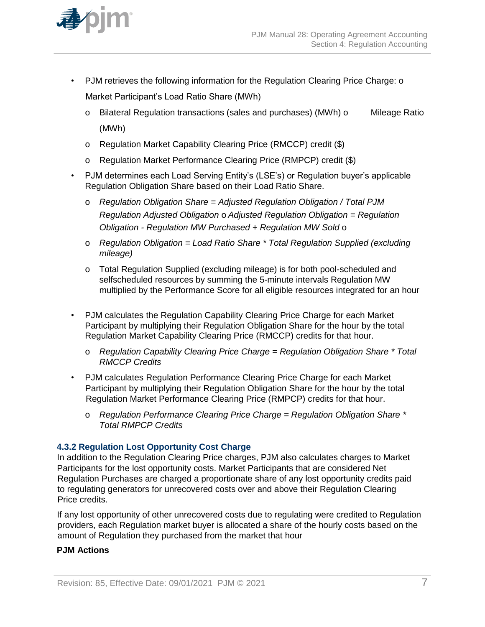

- PJM retrieves the following information for the Regulation Clearing Price Charge: o Market Participant's Load Ratio Share (MWh)
	- o Bilateral Regulation transactions (sales and purchases) (MWh) o Mileage Ratio (MWh)
	- o Regulation Market Capability Clearing Price (RMCCP) credit (\$)
	- o Regulation Market Performance Clearing Price (RMPCP) credit (\$)
- PJM determines each Load Serving Entity's (LSE's) or Regulation buyer's applicable Regulation Obligation Share based on their Load Ratio Share.
	- o *Regulation Obligation Share = Adjusted Regulation Obligation / Total PJM Regulation Adjusted Obligation* o *Adjusted Regulation Obligation = Regulation Obligation - Regulation MW Purchased + Regulation MW Sold* o
	- o *Regulation Obligation = Load Ratio Share \* Total Regulation Supplied (excluding mileage)*
	- o Total Regulation Supplied (excluding mileage) is for both pool-scheduled and selfscheduled resources by summing the 5-minute intervals Regulation MW multiplied by the Performance Score for all eligible resources integrated for an hour
- PJM calculates the Regulation Capability Clearing Price Charge for each Market Participant by multiplying their Regulation Obligation Share for the hour by the total Regulation Market Capability Clearing Price (RMCCP) credits for that hour.
	- o *Regulation Capability Clearing Price Charge = Regulation Obligation Share \* Total RMCCP Credits*
- PJM calculates Regulation Performance Clearing Price Charge for each Market Participant by multiplying their Regulation Obligation Share for the hour by the total Regulation Market Performance Clearing Price (RMPCP) credits for that hour.
	- o *Regulation Performance Clearing Price Charge = Regulation Obligation Share \* Total RMPCP Credits*

### **4.3.2 Regulation Lost Opportunity Cost Charge**

In addition to the Regulation Clearing Price charges, PJM also calculates charges to Market Participants for the lost opportunity costs. Market Participants that are considered Net Regulation Purchases are charged a proportionate share of any lost opportunity credits paid to regulating generators for unrecovered costs over and above their Regulation Clearing Price credits.

If any lost opportunity of other unrecovered costs due to regulating were credited to Regulation providers, each Regulation market buyer is allocated a share of the hourly costs based on the amount of Regulation they purchased from the market that hour

### **PJM Actions**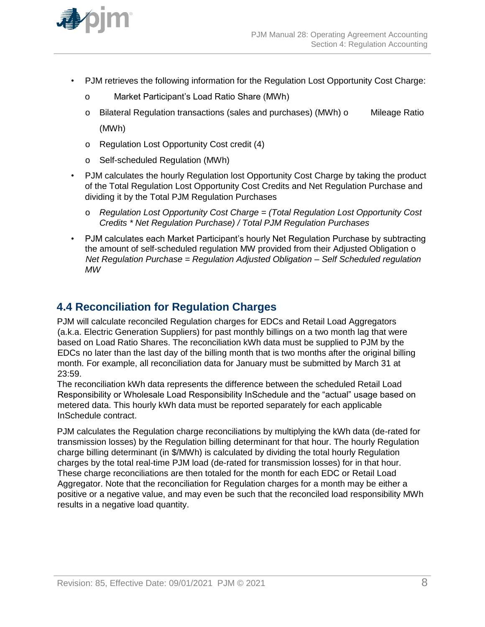

- PJM retrieves the following information for the Regulation Lost Opportunity Cost Charge:
	- o Market Participant's Load Ratio Share (MWh)
	- o Bilateral Regulation transactions (sales and purchases) (MWh) o Mileage Ratio (MWh)
	- o Regulation Lost Opportunity Cost credit (4)
	- o Self-scheduled Regulation (MWh)
- PJM calculates the hourly Regulation lost Opportunity Cost Charge by taking the product of the Total Regulation Lost Opportunity Cost Credits and Net Regulation Purchase and dividing it by the Total PJM Regulation Purchases
	- o *Regulation Lost Opportunity Cost Charge = (Total Regulation Lost Opportunity Cost Credits \* Net Regulation Purchase) / Total PJM Regulation Purchases*
- PJM calculates each Market Participant's hourly Net Regulation Purchase by subtracting the amount of self-scheduled regulation MW provided from their Adjusted Obligation o *Net Regulation Purchase = Regulation Adjusted Obligation – Self Scheduled regulation MW*

# **4.4 Reconciliation for Regulation Charges**

PJM will calculate reconciled Regulation charges for EDCs and Retail Load Aggregators (a.k.a. Electric Generation Suppliers) for past monthly billings on a two month lag that were based on Load Ratio Shares. The reconciliation kWh data must be supplied to PJM by the EDCs no later than the last day of the billing month that is two months after the original billing month. For example, all reconciliation data for January must be submitted by March 31 at 23:59.

The reconciliation kWh data represents the difference between the scheduled Retail Load Responsibility or Wholesale Load Responsibility InSchedule and the "actual" usage based on metered data. This hourly kWh data must be reported separately for each applicable InSchedule contract.

PJM calculates the Regulation charge reconciliations by multiplying the kWh data (de-rated for transmission losses) by the Regulation billing determinant for that hour. The hourly Regulation charge billing determinant (in \$/MWh) is calculated by dividing the total hourly Regulation charges by the total real-time PJM load (de-rated for transmission losses) for in that hour. These charge reconciliations are then totaled for the month for each EDC or Retail Load Aggregator. Note that the reconciliation for Regulation charges for a month may be either a positive or a negative value, and may even be such that the reconciled load responsibility MWh results in a negative load quantity.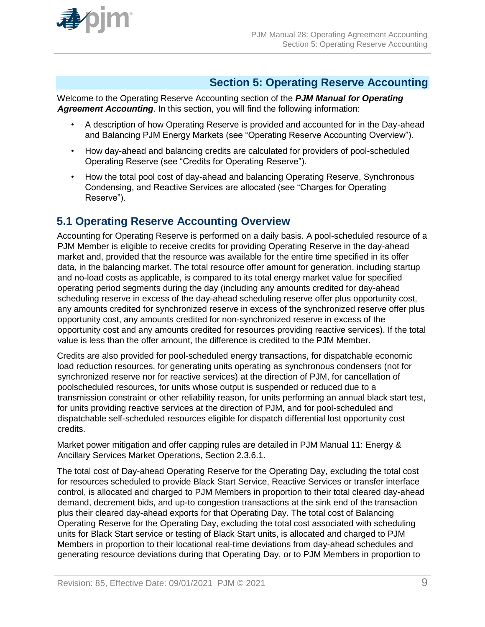

# **Section 5: Operating Reserve Accounting**

Welcome to the Operating Reserve Accounting section of the *PJM Manual for Operating Agreement Accounting*. In this section, you will find the following information:

- A description of how Operating Reserve is provided and accounted for in the Day-ahead and Balancing PJM Energy Markets (see "Operating Reserve Accounting Overview").
- How day-ahead and balancing credits are calculated for providers of pool-scheduled Operating Reserve (see "Credits for Operating Reserve").
- How the total pool cost of day-ahead and balancing Operating Reserve, Synchronous Condensing, and Reactive Services are allocated (see "Charges for Operating Reserve").

# **5.1 Operating Reserve Accounting Overview**

Accounting for Operating Reserve is performed on a daily basis. A pool-scheduled resource of a PJM Member is eligible to receive credits for providing Operating Reserve in the day-ahead market and, provided that the resource was available for the entire time specified in its offer data, in the balancing market. The total resource offer amount for generation, including startup and no-load costs as applicable, is compared to its total energy market value for specified operating period segments during the day (including any amounts credited for day-ahead scheduling reserve in excess of the day-ahead scheduling reserve offer plus opportunity cost, any amounts credited for synchronized reserve in excess of the synchronized reserve offer plus opportunity cost, any amounts credited for non-synchronized reserve in excess of the opportunity cost and any amounts credited for resources providing reactive services). If the total value is less than the offer amount, the difference is credited to the PJM Member.

Credits are also provided for pool-scheduled energy transactions, for dispatchable economic load reduction resources, for generating units operating as synchronous condensers (not for synchronized reserve nor for reactive services) at the direction of PJM, for cancellation of poolscheduled resources, for units whose output is suspended or reduced due to a transmission constraint or other reliability reason, for units performing an annual black start test, for units providing reactive services at the direction of PJM, and for pool-scheduled and dispatchable self-scheduled resources eligible for dispatch differential lost opportunity cost credits.

Market power mitigation and offer capping rules are detailed in PJM Manual 11: Energy & Ancillary Services Market Operations, Section 2.3.6.1.

The total cost of Day-ahead Operating Reserve for the Operating Day, excluding the total cost for resources scheduled to provide Black Start Service, Reactive Services or transfer interface control, is allocated and charged to PJM Members in proportion to their total cleared day-ahead demand, decrement bids, and up-to congestion transactions at the sink end of the transaction plus their cleared day-ahead exports for that Operating Day. The total cost of Balancing Operating Reserve for the Operating Day, excluding the total cost associated with scheduling units for Black Start service or testing of Black Start units, is allocated and charged to PJM Members in proportion to their locational real-time deviations from day-ahead schedules and generating resource deviations during that Operating Day, or to PJM Members in proportion to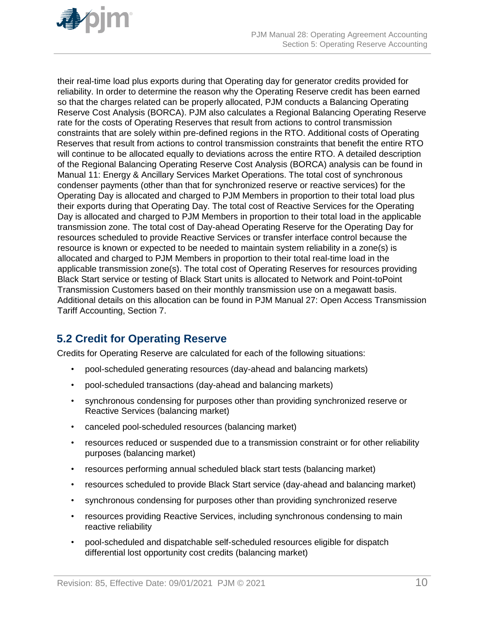

their real-time load plus exports during that Operating day for generator credits provided for reliability. In order to determine the reason why the Operating Reserve credit has been earned so that the charges related can be properly allocated, PJM conducts a Balancing Operating Reserve Cost Analysis (BORCA). PJM also calculates a Regional Balancing Operating Reserve rate for the costs of Operating Reserves that result from actions to control transmission constraints that are solely within pre-defined regions in the RTO. Additional costs of Operating Reserves that result from actions to control transmission constraints that benefit the entire RTO will continue to be allocated equally to deviations across the entire RTO. A detailed description of the Regional Balancing Operating Reserve Cost Analysis (BORCA) analysis can be found in Manual 11: Energy & Ancillary Services Market Operations. The total cost of synchronous condenser payments (other than that for synchronized reserve or reactive services) for the Operating Day is allocated and charged to PJM Members in proportion to their total load plus their exports during that Operating Day. The total cost of Reactive Services for the Operating Day is allocated and charged to PJM Members in proportion to their total load in the applicable transmission zone. The total cost of Day-ahead Operating Reserve for the Operating Day for resources scheduled to provide Reactive Services or transfer interface control because the resource is known or expected to be needed to maintain system reliability in a zone(s) is allocated and charged to PJM Members in proportion to their total real-time load in the applicable transmission zone(s). The total cost of Operating Reserves for resources providing Black Start service or testing of Black Start units is allocated to Network and Point-toPoint Transmission Customers based on their monthly transmission use on a megawatt basis. Additional details on this allocation can be found in PJM Manual 27: Open Access Transmission Tariff Accounting, Section 7.

# **5.2 Credit for Operating Reserve**

Credits for Operating Reserve are calculated for each of the following situations:

- pool-scheduled generating resources (day-ahead and balancing markets)
- pool-scheduled transactions (day-ahead and balancing markets)
- synchronous condensing for purposes other than providing synchronized reserve or Reactive Services (balancing market)
- canceled pool-scheduled resources (balancing market)
- resources reduced or suspended due to a transmission constraint or for other reliability purposes (balancing market)
- resources performing annual scheduled black start tests (balancing market)
- resources scheduled to provide Black Start service (day-ahead and balancing market)
- synchronous condensing for purposes other than providing synchronized reserve
- resources providing Reactive Services, including synchronous condensing to main reactive reliability
- pool-scheduled and dispatchable self-scheduled resources eligible for dispatch differential lost opportunity cost credits (balancing market)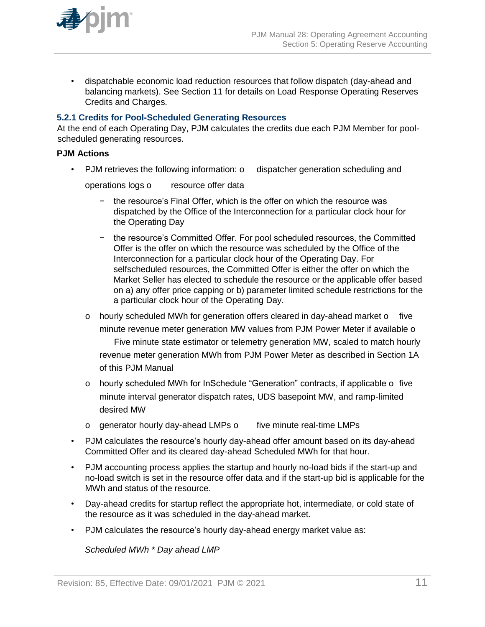

• dispatchable economic load reduction resources that follow dispatch (day-ahead and balancing markets). See Section 11 for details on Load Response Operating Reserves Credits and Charges.

#### **5.2.1 Credits for Pool-Scheduled Generating Resources**

At the end of each Operating Day, PJM calculates the credits due each PJM Member for poolscheduled generating resources.

### **PJM Actions**

• PJM retrieves the following information: o dispatcher generation scheduling and

operations logs o resource offer data

- − the resource's Final Offer, which is the offer on which the resource was dispatched by the Office of the Interconnection for a particular clock hour for the Operating Day
- − the resource's Committed Offer. For pool scheduled resources, the Committed Offer is the offer on which the resource was scheduled by the Office of the Interconnection for a particular clock hour of the Operating Day. For selfscheduled resources, the Committed Offer is either the offer on which the Market Seller has elected to schedule the resource or the applicable offer based on a) any offer price capping or b) parameter limited schedule restrictions for the a particular clock hour of the Operating Day.
- o hourly scheduled MWh for generation offers cleared in day-ahead market o five minute revenue meter generation MW values from PJM Power Meter if available o Five minute state estimator or telemetry generation MW, scaled to match hourly revenue meter generation MWh from PJM Power Meter as described in Section 1A of this PJM Manual
- o hourly scheduled MWh for InSchedule "Generation" contracts, if applicable o five minute interval generator dispatch rates, UDS basepoint MW, and ramp-limited desired MW
- o generator hourly day-ahead LMPs o five minute real-time LMPs
- PJM calculates the resource's hourly day-ahead offer amount based on its day-ahead Committed Offer and its cleared day-ahead Scheduled MWh for that hour.
- PJM accounting process applies the startup and hourly no-load bids if the start-up and no-load switch is set in the resource offer data and if the start-up bid is applicable for the MWh and status of the resource.
- Day-ahead credits for startup reflect the appropriate hot, intermediate, or cold state of the resource as it was scheduled in the day-ahead market.
- PJM calculates the resource's hourly day-ahead energy market value as:

*Scheduled MWh \* Day ahead LMP*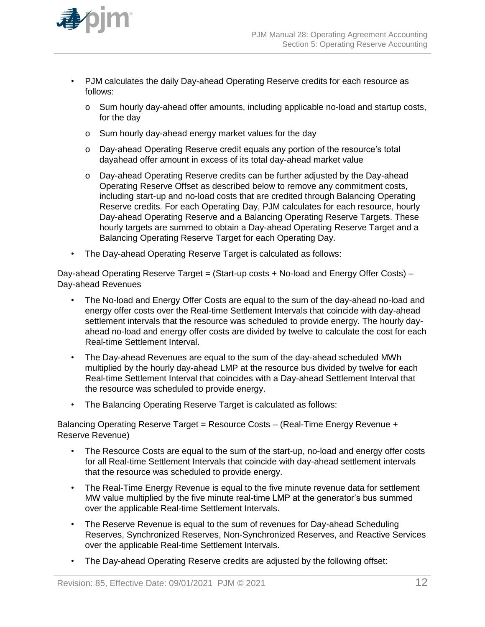

- PJM calculates the daily Day-ahead Operating Reserve credits for each resource as follows:
	- o Sum hourly day-ahead offer amounts, including applicable no-load and startup costs, for the day
	- o Sum hourly day-ahead energy market values for the day
	- o Day-ahead Operating Reserve credit equals any portion of the resource's total dayahead offer amount in excess of its total day-ahead market value
	- o Day-ahead Operating Reserve credits can be further adjusted by the Day-ahead Operating Reserve Offset as described below to remove any commitment costs, including start-up and no-load costs that are credited through Balancing Operating Reserve credits. For each Operating Day, PJM calculates for each resource, hourly Day-ahead Operating Reserve and a Balancing Operating Reserve Targets. These hourly targets are summed to obtain a Day-ahead Operating Reserve Target and a Balancing Operating Reserve Target for each Operating Day.
- The Day-ahead Operating Reserve Target is calculated as follows:

Day-ahead Operating Reserve Target = (Start-up costs + No-load and Energy Offer Costs) -Day-ahead Revenues

- The No-load and Energy Offer Costs are equal to the sum of the day-ahead no-load and energy offer costs over the Real-time Settlement Intervals that coincide with day*-*ahead settlement intervals that the resource was scheduled to provide energy. The hourly dayahead no-load and energy offer costs are divided by twelve to calculate the cost for each Real-time Settlement Interval.
- The Day-ahead Revenues are equal to the sum of the day-ahead scheduled MWh multiplied by the hourly day-ahead LMP at the resource bus divided by twelve for each Real-time Settlement Interval that coincides with a Day-ahead Settlement Interval that the resource was scheduled to provide energy.
- The Balancing Operating Reserve Target is calculated as follows:

Balancing Operating Reserve Target = Resource Costs – (Real-Time Energy Revenue + Reserve Revenue)

- The Resource Costs are equal to the sum of the start-up, no-load and energy offer costs for all Real-time Settlement Intervals that coincide with day-ahead settlement intervals that the resource was scheduled to provide energy.
- The Real-Time Energy Revenue is equal to the five minute revenue data for settlement MW value multiplied by the five minute real-time LMP at the generator's bus summed over the applicable Real-time Settlement Intervals.
- The Reserve Revenue is equal to the sum of revenues for Day-ahead Scheduling Reserves, Synchronized Reserves, Non-Synchronized Reserves, and Reactive Services over the applicable Real-time Settlement Intervals.
- The Day-ahead Operating Reserve credits are adjusted by the following offset: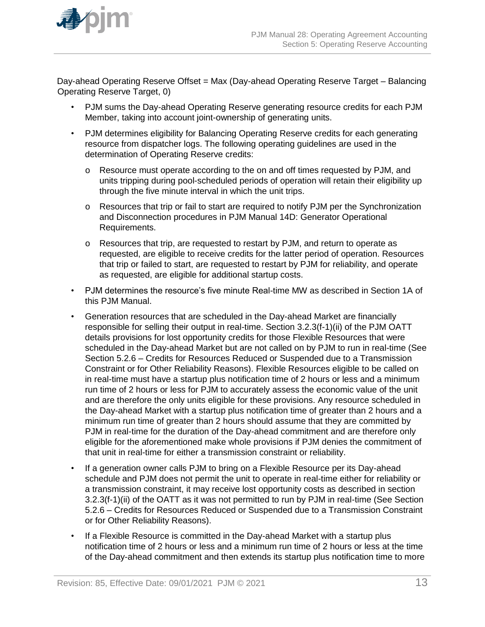

Day-ahead Operating Reserve Offset = Max (Day-ahead Operating Reserve Target – Balancing Operating Reserve Target, 0)

- PJM sums the Day-ahead Operating Reserve generating resource credits for each PJM Member, taking into account joint-ownership of generating units.
- PJM determines eligibility for Balancing Operating Reserve credits for each generating resource from dispatcher logs. The following operating guidelines are used in the determination of Operating Reserve credits:
	- o Resource must operate according to the on and off times requested by PJM, and units tripping during pool-scheduled periods of operation will retain their eligibility up through the five minute interval in which the unit trips.
	- o Resources that trip or fail to start are required to notify PJM per the Synchronization and Disconnection procedures in PJM Manual 14D: Generator Operational Requirements.
	- o Resources that trip, are requested to restart by PJM, and return to operate as requested, are eligible to receive credits for the latter period of operation. Resources that trip or failed to start, are requested to restart by PJM for reliability, and operate as requested, are eligible for additional startup costs.
- PJM determines the resource's five minute Real-time MW as described in Section 1A of this PJM Manual.
- Generation resources that are scheduled in the Day-ahead Market are financially responsible for selling their output in real-time. Section 3.2.3(f-1)(ii) of the PJM OATT details provisions for lost opportunity credits for those Flexible Resources that were scheduled in the Day-ahead Market but are not called on by PJM to run in real-time (See Section 5.2.6 – Credits for Resources Reduced or Suspended due to a Transmission Constraint or for Other Reliability Reasons). Flexible Resources eligible to be called on in real-time must have a startup plus notification time of 2 hours or less and a minimum run time of 2 hours or less for PJM to accurately assess the economic value of the unit and are therefore the only units eligible for these provisions. Any resource scheduled in the Day-ahead Market with a startup plus notification time of greater than 2 hours and a minimum run time of greater than 2 hours should assume that they are committed by PJM in real-time for the duration of the Day-ahead commitment and are therefore only eligible for the aforementioned make whole provisions if PJM denies the commitment of that unit in real-time for either a transmission constraint or reliability.
- If a generation owner calls PJM to bring on a Flexible Resource per its Day-ahead schedule and PJM does not permit the unit to operate in real-time either for reliability or a transmission constraint, it may receive lost opportunity costs as described in section 3.2.3(f-1)(ii) of the OATT as it was not permitted to run by PJM in real-time (See Section 5.2.6 – Credits for Resources Reduced or Suspended due to a Transmission Constraint or for Other Reliability Reasons).
- If a Flexible Resource is committed in the Day-ahead Market with a startup plus notification time of 2 hours or less and a minimum run time of 2 hours or less at the time of the Day-ahead commitment and then extends its startup plus notification time to more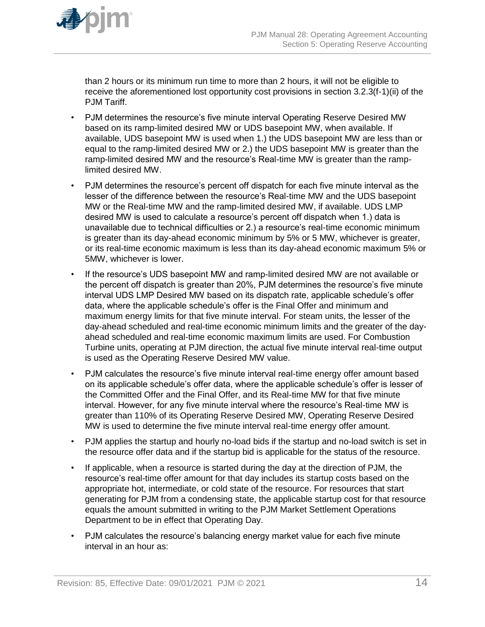

than 2 hours or its minimum run time to more than 2 hours, it will not be eligible to receive the aforementioned lost opportunity cost provisions in section 3.2.3(f-1)(ii) of the PJM Tariff.

- PJM determines the resource's five minute interval Operating Reserve Desired MW based on its ramp-limited desired MW or UDS basepoint MW, when available. If available, UDS basepoint MW is used when 1.) the UDS basepoint MW are less than or equal to the ramp-limited desired MW or 2.) the UDS basepoint MW is greater than the ramp-limited desired MW and the resource's Real-time MW is greater than the ramplimited desired MW.
- PJM determines the resource's percent off dispatch for each five minute interval as the lesser of the difference between the resource's Real-time MW and the UDS basepoint MW or the Real-time MW and the ramp-limited desired MW, if available. UDS LMP desired MW is used to calculate a resource's percent off dispatch when 1.) data is unavailable due to technical difficulties or 2.) a resource's real-time economic minimum is greater than its day-ahead economic minimum by 5% or 5 MW, whichever is greater, or its real-time economic maximum is less than its day-ahead economic maximum 5% or 5MW, whichever is lower.
- If the resource's UDS basepoint MW and ramp-limited desired MW are not available or the percent off dispatch is greater than 20%, PJM determines the resource's five minute interval UDS LMP Desired MW based on its dispatch rate, applicable schedule's offer data, where the applicable schedule's offer is the Final Offer and minimum and maximum energy limits for that five minute interval. For steam units, the lesser of the day-ahead scheduled and real-time economic minimum limits and the greater of the dayahead scheduled and real-time economic maximum limits are used. For Combustion Turbine units, operating at PJM direction, the actual five minute interval real-time output is used as the Operating Reserve Desired MW value.
- PJM calculates the resource's five minute interval real-time energy offer amount based on its applicable schedule's offer data, where the applicable schedule's offer is lesser of the Committed Offer and the Final Offer, and its Real-time MW for that five minute interval. However, for any five minute interval where the resource's Real-time MW is greater than 110% of its Operating Reserve Desired MW, Operating Reserve Desired MW is used to determine the five minute interval real-time energy offer amount.
- PJM applies the startup and hourly no-load bids if the startup and no-load switch is set in the resource offer data and if the startup bid is applicable for the status of the resource.
- If applicable, when a resource is started during the day at the direction of PJM, the resource's real-time offer amount for that day includes its startup costs based on the appropriate hot, intermediate, or cold state of the resource. For resources that start generating for PJM from a condensing state, the applicable startup cost for that resource equals the amount submitted in writing to the PJM Market Settlement Operations Department to be in effect that Operating Day.
- PJM calculates the resource's balancing energy market value for each five minute interval in an hour as: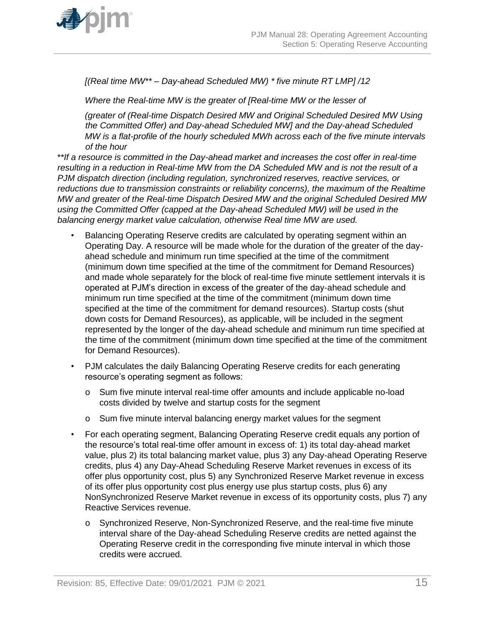

*[(Real time MW\*\* – Day-ahead Scheduled MW) \* five minute RT LMP] /12*

*Where the Real-time MW is the greater of [Real-time MW or the lesser of*

*(greater of (Real-time Dispatch Desired MW and Original Scheduled Desired MW Using the Committed Offer) and Day-ahead Scheduled MW] and the Day-ahead Scheduled MW is a flat-profile of the hourly scheduled MWh across each of the five minute intervals of the hour*

*\*\*If a resource is committed in the Day-ahead market and increases the cost offer in real-time resulting in a reduction in Real-time MW from the DA Scheduled MW and is not the result of a PJM dispatch direction (including regulation, synchronized reserves, reactive services, or reductions due to transmission constraints or reliability concerns), the maximum of the Realtime MW and greater of the Real-time Dispatch Desired MW and the original Scheduled Desired MW using the Committed Offer (capped at the Day-ahead Scheduled MW) will be used in the balancing energy market value calculation, otherwise Real time MW are used.*

- Balancing Operating Reserve credits are calculated by operating segment within an Operating Day. A resource will be made whole for the duration of the greater of the dayahead schedule and minimum run time specified at the time of the commitment (minimum down time specified at the time of the commitment for Demand Resources) and made whole separately for the block of real-time five minute settlement intervals it is operated at PJM's direction in excess of the greater of the day-ahead schedule and minimum run time specified at the time of the commitment (minimum down time specified at the time of the commitment for demand resources). Startup costs (shut down costs for Demand Resources), as applicable, will be included in the segment represented by the longer of the day-ahead schedule and minimum run time specified at the time of the commitment (minimum down time specified at the time of the commitment for Demand Resources).
- PJM calculates the daily Balancing Operating Reserve credits for each generating resource's operating segment as follows:
	- o Sum five minute interval real-time offer amounts and include applicable no-load costs divided by twelve and startup costs for the segment
	- o Sum five minute interval balancing energy market values for the segment
- For each operating segment, Balancing Operating Reserve credit equals any portion of the resource's total real-time offer amount in excess of: 1) its total day-ahead market value, plus 2) its total balancing market value, plus 3) any Day-ahead Operating Reserve credits, plus 4) any Day-Ahead Scheduling Reserve Market revenues in excess of its offer plus opportunity cost, plus 5) any Synchronized Reserve Market revenue in excess of its offer plus opportunity cost plus energy use plus startup costs, plus 6) any NonSynchronized Reserve Market revenue in excess of its opportunity costs, plus 7) any Reactive Services revenue.
	- o Synchronized Reserve, Non-Synchronized Reserve, and the real-time five minute interval share of the Day-ahead Scheduling Reserve credits are netted against the Operating Reserve credit in the corresponding five minute interval in which those credits were accrued.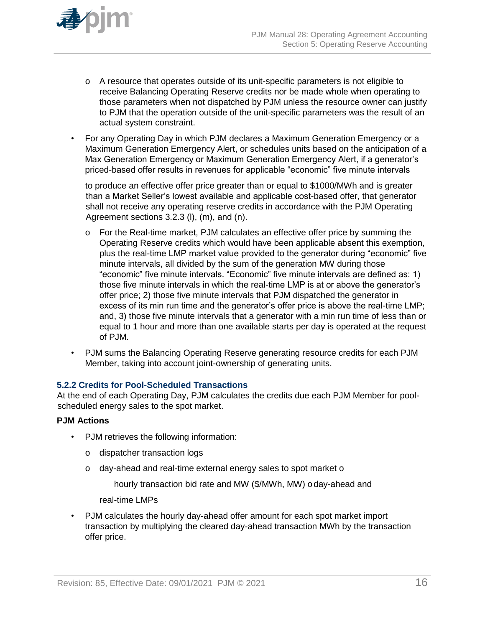

- o A resource that operates outside of its unit-specific parameters is not eligible to receive Balancing Operating Reserve credits nor be made whole when operating to those parameters when not dispatched by PJM unless the resource owner can justify to PJM that the operation outside of the unit-specific parameters was the result of an actual system constraint.
- For any Operating Day in which PJM declares a Maximum Generation Emergency or a Maximum Generation Emergency Alert, or schedules units based on the anticipation of a Max Generation Emergency or Maximum Generation Emergency Alert, if a generator's priced-based offer results in revenues for applicable "economic" five minute intervals

to produce an effective offer price greater than or equal to \$1000/MWh and is greater than a Market Seller's lowest available and applicable cost-based offer, that generator shall not receive any operating reserve credits in accordance with the PJM Operating Agreement sections 3.2.3 (l), (m), and (n).

- o For the Real-time market, PJM calculates an effective offer price by summing the Operating Reserve credits which would have been applicable absent this exemption, plus the real-time LMP market value provided to the generator during "economic" five minute intervals, all divided by the sum of the generation MW during those "economic" five minute intervals. "Economic" five minute intervals are defined as: 1) those five minute intervals in which the real-time LMP is at or above the generator's offer price; 2) those five minute intervals that PJM dispatched the generator in excess of its min run time and the generator's offer price is above the real-time LMP; and, 3) those five minute intervals that a generator with a min run time of less than or equal to 1 hour and more than one available starts per day is operated at the request of PJM.
- PJM sums the Balancing Operating Reserve generating resource credits for each PJM Member, taking into account joint-ownership of generating units.

#### **5.2.2 Credits for Pool-Scheduled Transactions**

At the end of each Operating Day, PJM calculates the credits due each PJM Member for poolscheduled energy sales to the spot market.

#### **PJM Actions**

- PJM retrieves the following information:
	- o dispatcher transaction logs
	- o day-ahead and real-time external energy sales to spot market o

hourly transaction bid rate and MW (\$/MWh, MW) oday-ahead and

real-time LMPs

• PJM calculates the hourly day-ahead offer amount for each spot market import transaction by multiplying the cleared day-ahead transaction MWh by the transaction offer price.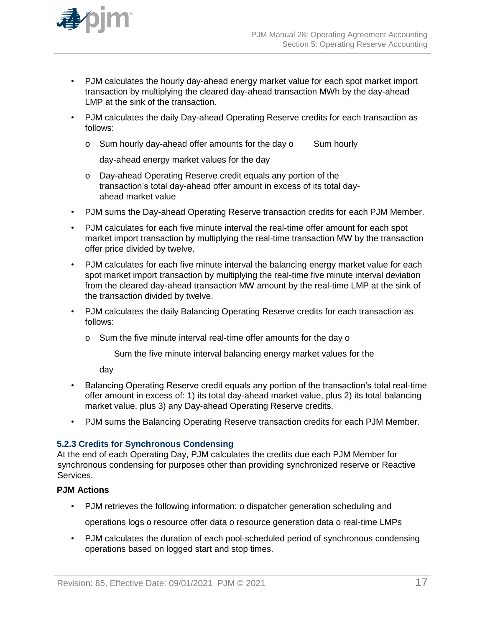

- PJM calculates the hourly day-ahead energy market value for each spot market import transaction by multiplying the cleared day-ahead transaction MWh by the day-ahead LMP at the sink of the transaction.
- PJM calculates the daily Day-ahead Operating Reserve credits for each transaction as follows:
	- o Sum hourly day-ahead offer amounts for the day o Sum hourly

day-ahead energy market values for the day

- o Day-ahead Operating Reserve credit equals any portion of the transaction's total day-ahead offer amount in excess of its total dayahead market value
- PJM sums the Day-ahead Operating Reserve transaction credits for each PJM Member.
- PJM calculates for each five minute interval the real-time offer amount for each spot market import transaction by multiplying the real-time transaction MW by the transaction offer price divided by twelve.
- PJM calculates for each five minute interval the balancing energy market value for each spot market import transaction by multiplying the real-time five minute interval deviation from the cleared day-ahead transaction MW amount by the real-time LMP at the sink of the transaction divided by twelve.
- PJM calculates the daily Balancing Operating Reserve credits for each transaction as follows:
	- o Sum the five minute interval real-time offer amounts for the day o

Sum the five minute interval balancing energy market values for the

day

- Balancing Operating Reserve credit equals any portion of the transaction's total real-time offer amount in excess of: 1) its total day-ahead market value, plus 2) its total balancing market value, plus 3) any Day-ahead Operating Reserve credits.
- PJM sums the Balancing Operating Reserve transaction credits for each PJM Member.

#### **5.2.3 Credits for Synchronous Condensing**

At the end of each Operating Day, PJM calculates the credits due each PJM Member for synchronous condensing for purposes other than providing synchronized reserve or Reactive Services.

### **PJM Actions**

• PJM retrieves the following information: o dispatcher generation scheduling and

operations logs o resource offer data o resource generation data o real-time LMPs

• PJM calculates the duration of each pool-scheduled period of synchronous condensing operations based on logged start and stop times.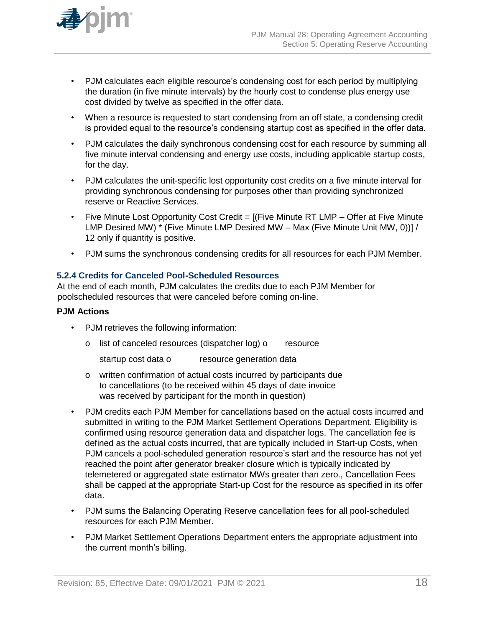

- PJM calculates each eligible resource's condensing cost for each period by multiplying the duration (in five minute intervals) by the hourly cost to condense plus energy use cost divided by twelve as specified in the offer data.
- When a resource is requested to start condensing from an off state, a condensing credit is provided equal to the resource's condensing startup cost as specified in the offer data.
- PJM calculates the daily synchronous condensing cost for each resource by summing all five minute interval condensing and energy use costs, including applicable startup costs, for the day.
- PJM calculates the unit-specific lost opportunity cost credits on a five minute interval for providing synchronous condensing for purposes other than providing synchronized reserve or Reactive Services.
- Five Minute Lost Opportunity Cost Credit = [(Five Minute RT LMP Offer at Five Minute LMP Desired MW) \* (Five Minute LMP Desired MW – Max (Five Minute Unit MW, 0))] / 12 only if quantity is positive.
- PJM sums the synchronous condensing credits for all resources for each PJM Member.

#### **5.2.4 Credits for Canceled Pool-Scheduled Resources**

At the end of each month, PJM calculates the credits due to each PJM Member for poolscheduled resources that were canceled before coming on-line.

#### **PJM Actions**

- PJM retrieves the following information:
	- o list of canceled resources (dispatcher log) o resource

startup cost data o resource generation data

- o written confirmation of actual costs incurred by participants due to cancellations (to be received within 45 days of date invoice was received by participant for the month in question)
- PJM credits each PJM Member for cancellations based on the actual costs incurred and submitted in writing to the PJM Market Settlement Operations Department. Eligibility is confirmed using resource generation data and dispatcher logs. The cancellation fee is defined as the actual costs incurred, that are typically included in Start-up Costs, when PJM cancels a pool-scheduled generation resource's start and the resource has not yet reached the point after generator breaker closure which is typically indicated by telemetered or aggregated state estimator MWs greater than zero., Cancellation Fees shall be capped at the appropriate Start-up Cost for the resource as specified in its offer data.
- PJM sums the Balancing Operating Reserve cancellation fees for all pool-scheduled resources for each PJM Member.
- PJM Market Settlement Operations Department enters the appropriate adjustment into the current month's billing.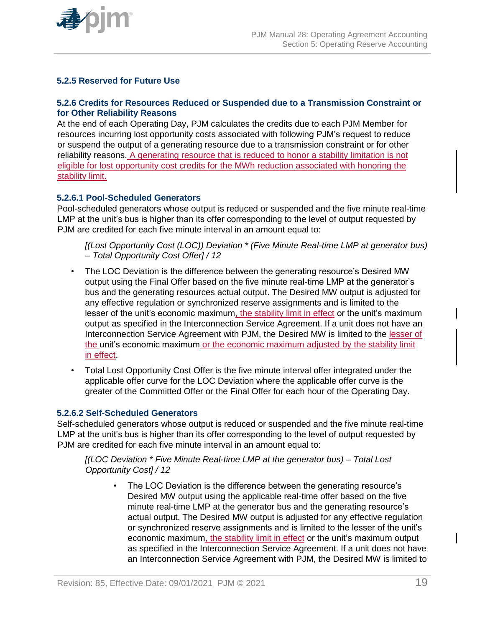

### **5.2.5 Reserved for Future Use**

### **5.2.6 Credits for Resources Reduced or Suspended due to a Transmission Constraint or for Other Reliability Reasons**

At the end of each Operating Day, PJM calculates the credits due to each PJM Member for resources incurring lost opportunity costs associated with following PJM's request to reduce or suspend the output of a generating resource due to a transmission constraint or for other reliability reasons. A generating resource that is reduced to honor a stability limitation is not eligible for lost opportunity cost credits for the MWh reduction associated with honoring the stability limit.

### **5.2.6.1 Pool-Scheduled Generators**

Pool-scheduled generators whose output is reduced or suspended and the five minute real-time LMP at the unit's bus is higher than its offer corresponding to the level of output requested by PJM are credited for each five minute interval in an amount equal to:

*[(Lost Opportunity Cost (LOC)) Deviation \* (Five Minute Real-time LMP at generator bus) – Total Opportunity Cost Offer] / 12*

- The LOC Deviation is the difference between the generating resource's Desired MW output using the Final Offer based on the five minute real-time LMP at the generator's bus and the generating resources actual output. The Desired MW output is adjusted for any effective regulation or synchronized reserve assignments and is limited to the lesser of the unit's economic maximum, the stability limit in effect or the unit's maximum output as specified in the Interconnection Service Agreement. If a unit does not have an Interconnection Service Agreement with PJM, the Desired MW is limited to the lesser of the unit's economic maximum or the economic maximum adjusted by the stability limit in effect.
- Total Lost Opportunity Cost Offer is the five minute interval offer integrated under the applicable offer curve for the LOC Deviation where the applicable offer curve is the greater of the Committed Offer or the Final Offer for each hour of the Operating Day.

#### **5.2.6.2 Self-Scheduled Generators**

Self-scheduled generators whose output is reduced or suspended and the five minute real-time LMP at the unit's bus is higher than its offer corresponding to the level of output requested by PJM are credited for each five minute interval in an amount equal to:

*[(LOC Deviation \* Five Minute Real-time LMP at the generator bus) – Total Lost Opportunity Cost] / 12*

• The LOC Deviation is the difference between the generating resource's Desired MW output using the applicable real-time offer based on the five minute real-time LMP at the generator bus and the generating resource's actual output. The Desired MW output is adjusted for any effective regulation or synchronized reserve assignments and is limited to the lesser of the unit's economic maximum, the stability limit in effect or the unit's maximum output as specified in the Interconnection Service Agreement. If a unit does not have an Interconnection Service Agreement with PJM, the Desired MW is limited to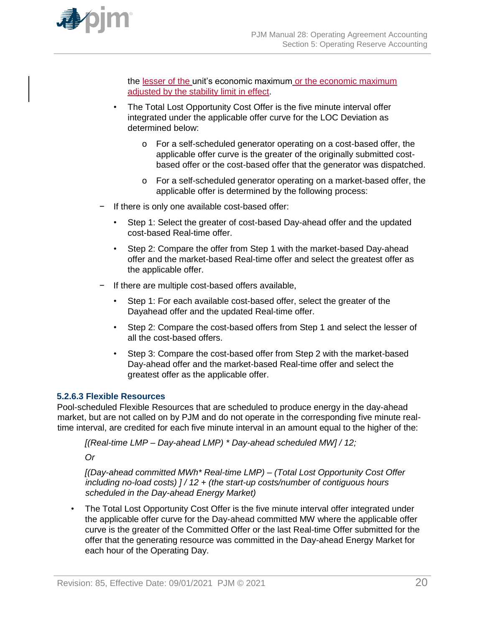

the lesser of the unit's economic maximum or the economic maximum adjusted by the stability limit in effect.

- The Total Lost Opportunity Cost Offer is the five minute interval offer integrated under the applicable offer curve for the LOC Deviation as determined below:
	- o For a self-scheduled generator operating on a cost-based offer, the applicable offer curve is the greater of the originally submitted costbased offer or the cost-based offer that the generator was dispatched.
	- o For a self-scheduled generator operating on a market-based offer, the applicable offer is determined by the following process:
- If there is only one available cost-based offer:
	- Step 1: Select the greater of cost-based Day-ahead offer and the updated cost-based Real-time offer.
	- Step 2: Compare the offer from Step 1 with the market-based Day-ahead offer and the market-based Real-time offer and select the greatest offer as the applicable offer.
- − If there are multiple cost-based offers available,
	- Step 1: For each available cost-based offer, select the greater of the Dayahead offer and the updated Real-time offer.
	- Step 2: Compare the cost-based offers from Step 1 and select the lesser of all the cost-based offers.
	- Step 3: Compare the cost-based offer from Step 2 with the market-based Day-ahead offer and the market-based Real-time offer and select the greatest offer as the applicable offer.

#### **5.2.6.3 Flexible Resources**

Pool-scheduled Flexible Resources that are scheduled to produce energy in the day-ahead market, but are not called on by PJM and do not operate in the corresponding five minute realtime interval, are credited for each five minute interval in an amount equal to the higher of the:

*[(Real-time LMP – Day-ahead LMP) \* Day-ahead scheduled MW] / 12;*

*Or*

*[(Day-ahead committed MWh\* Real-time LMP) – (Total Lost Opportunity Cost Offer including no-load costs) ] / 12 + (the start-up costs/number of contiguous hours scheduled in the Day-ahead Energy Market)*

The Total Lost Opportunity Cost Offer is the five minute interval offer integrated under the applicable offer curve for the Day-ahead committed MW where the applicable offer curve is the greater of the Committed Offer or the last Real-time Offer submitted for the offer that the generating resource was committed in the Day-ahead Energy Market for each hour of the Operating Day.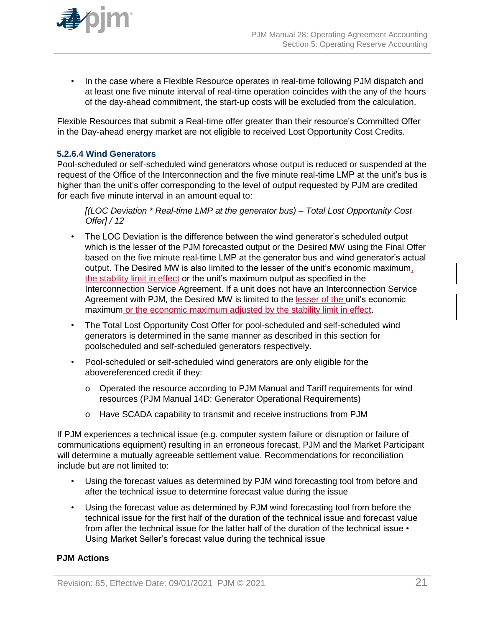

• In the case where a Flexible Resource operates in real-time following PJM dispatch and at least one five minute interval of real-time operation coincides with the any of the hours of the day-ahead commitment, the start-up costs will be excluded from the calculation.

Flexible Resources that submit a Real-time offer greater than their resource's Committed Offer in the Day-ahead energy market are not eligible to received Lost Opportunity Cost Credits.

#### **5.2.6.4 Wind Generators**

Pool-scheduled or self-scheduled wind generators whose output is reduced or suspended at the request of the Office of the Interconnection and the five minute real-time LMP at the unit's bus is higher than the unit's offer corresponding to the level of output requested by PJM are credited for each five minute interval in an amount equal to:

*[(LOC Deviation \* Real-time LMP at the generator bus) – Total Lost Opportunity Cost Offer] / 12*

- The LOC Deviation is the difference between the wind generator's scheduled output which is the lesser of the PJM forecasted output or the Desired MW using the Final Offer based on the five minute real-time LMP at the generator bus and wind generator's actual output. The Desired MW is also limited to the lesser of the unit's economic maximum, the stability limit in effect or the unit's maximum output as specified in the Interconnection Service Agreement. If a unit does not have an Interconnection Service Agreement with PJM, the Desired MW is limited to the lesser of the unit's economic maximum or the economic maximum adjusted by the stability limit in effect.
- The Total Lost Opportunity Cost Offer for pool-scheduled and self-scheduled wind generators is determined in the same manner as described in this section for poolscheduled and self-scheduled generators respectively.
- Pool-scheduled or self-scheduled wind generators are only eligible for the abovereferenced credit if they:
	- o Operated the resource according to PJM Manual and Tariff requirements for wind resources (PJM Manual 14D: Generator Operational Requirements)
	- o Have SCADA capability to transmit and receive instructions from PJM

If PJM experiences a technical issue (e.g. computer system failure or disruption or failure of communications equipment) resulting in an erroneous forecast, PJM and the Market Participant will determine a mutually agreeable settlement value. Recommendations for reconciliation include but are not limited to:

- Using the forecast values as determined by PJM wind forecasting tool from before and after the technical issue to determine forecast value during the issue
- Using the forecast value as determined by PJM wind forecasting tool from before the technical issue for the first half of the duration of the technical issue and forecast value from after the technical issue for the latter half of the duration of the technical issue  $\cdot$ Using Market Seller's forecast value during the technical issue

#### **PJM Actions**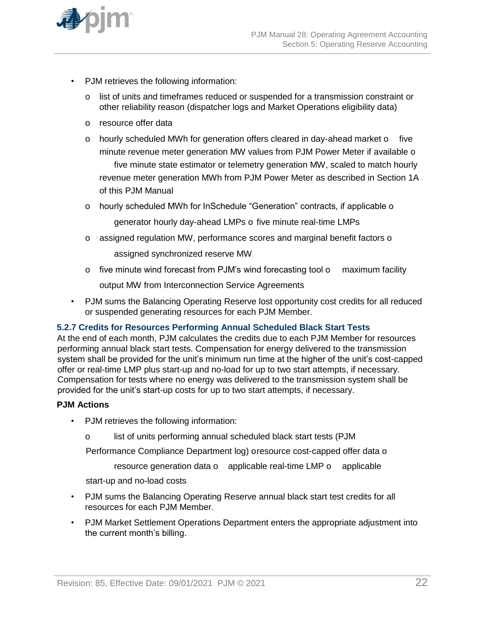

- PJM retrieves the following information:
	- o list of units and timeframes reduced or suspended for a transmission constraint or other reliability reason (dispatcher logs and Market Operations eligibility data)
	- o resource offer data
	- o hourly scheduled MWh for generation offers cleared in day-ahead market o five minute revenue meter generation MW values from PJM Power Meter if available o five minute state estimator or telemetry generation MW, scaled to match hourly revenue meter generation MWh from PJM Power Meter as described in Section 1A of this PJM Manual
	- o hourly scheduled MWh for InSchedule "Generation" contracts, if applicable o

generator hourly day-ahead LMPs o five minute real-time LMPs

- o assigned regulation MW, performance scores and marginal benefit factors o assigned synchronized reserve MW
- o five minute wind forecast from PJM's wind forecasting tool o maximum facility

output MW from Interconnection Service Agreements

• PJM sums the Balancing Operating Reserve lost opportunity cost credits for all reduced or suspended generating resources for each PJM Member.

#### **5.2.7 Credits for Resources Performing Annual Scheduled Black Start Tests**

At the end of each month, PJM calculates the credits due to each PJM Member for resources performing annual black start tests. Compensation for energy delivered to the transmission system shall be provided for the unit's minimum run time at the higher of the unit's cost-capped offer or real-time LMP plus start-up and no-load for up to two start attempts, if necessary. Compensation for tests where no energy was delivered to the transmission system shall be provided for the unit's start-up costs for up to two start attempts, if necessary.

#### **PJM Actions**

- PJM retrieves the following information:
	- o list of units performing annual scheduled black start tests (PJM

Performance Compliance Department log) oresource cost-capped offer data o

resource generation data o applicable real-time LMP o applicable

start-up and no-load costs

- PJM sums the Balancing Operating Reserve annual black start test credits for all resources for each PJM Member.
- PJM Market Settlement Operations Department enters the appropriate adjustment into the current month's billing.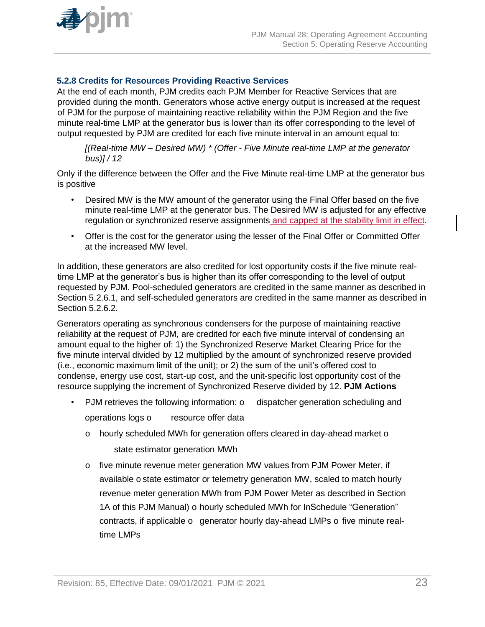

### **5.2.8 Credits for Resources Providing Reactive Services**

At the end of each month, PJM credits each PJM Member for Reactive Services that are provided during the month. Generators whose active energy output is increased at the request of PJM for the purpose of maintaining reactive reliability within the PJM Region and the five minute real-time LMP at the generator bus is lower than its offer corresponding to the level of output requested by PJM are credited for each five minute interval in an amount equal to:

*[(Real-time MW – Desired MW) \* (Offer - Five Minute real-time LMP at the generator bus)] / 12*

Only if the difference between the Offer and the Five Minute real-time LMP at the generator bus is positive

- Desired MW is the MW amount of the generator using the Final Offer based on the five minute real-time LMP at the generator bus. The Desired MW is adjusted for any effective regulation or synchronized reserve assignments and capped at the stability limit in effect.
- Offer is the cost for the generator using the lesser of the Final Offer or Committed Offer at the increased MW level.

In addition, these generators are also credited for lost opportunity costs if the five minute realtime LMP at the generator's bus is higher than its offer corresponding to the level of output requested by PJM. Pool-scheduled generators are credited in the same manner as described in Section 5.2.6.1, and self-scheduled generators are credited in the same manner as described in Section 5.2.6.2.

Generators operating as synchronous condensers for the purpose of maintaining reactive reliability at the request of PJM, are credited for each five minute interval of condensing an amount equal to the higher of: 1) the Synchronized Reserve Market Clearing Price for the five minute interval divided by 12 multiplied by the amount of synchronized reserve provided (i.e., economic maximum limit of the unit); or 2) the sum of the unit's offered cost to condense, energy use cost, start-up cost, and the unit-specific lost opportunity cost of the resource supplying the increment of Synchronized Reserve divided by 12. **PJM Actions**

• PJM retrieves the following information: o dispatcher generation scheduling and

operations logs o resource offer data

- o hourly scheduled MWh for generation offers cleared in day-ahead market o state estimator generation MWh
- o five minute revenue meter generation MW values from PJM Power Meter, if available o state estimator or telemetry generation MW, scaled to match hourly revenue meter generation MWh from PJM Power Meter as described in Section 1A of this PJM Manual) o hourly scheduled MWh for InSchedule "Generation" contracts, if applicable o generator hourly day-ahead LMPs o five minute realtime LMPs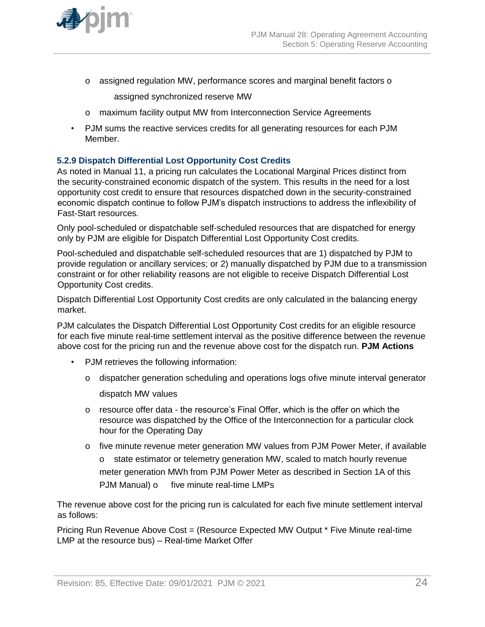

o assigned regulation MW, performance scores and marginal benefit factors o

assigned synchronized reserve MW

- o maximum facility output MW from Interconnection Service Agreements
- PJM sums the reactive services credits for all generating resources for each PJM Member.

### **5.2.9 Dispatch Differential Lost Opportunity Cost Credits**

As noted in Manual 11, a pricing run calculates the Locational Marginal Prices distinct from the security-constrained economic dispatch of the system. This results in the need for a lost opportunity cost credit to ensure that resources dispatched down in the security-constrained economic dispatch continue to follow PJM's dispatch instructions to address the inflexibility of Fast-Start resources*.*

Only pool-scheduled or dispatchable self-scheduled resources that are dispatched for energy only by PJM are eligible for Dispatch Differential Lost Opportunity Cost credits.

Pool-scheduled and dispatchable self-scheduled resources that are 1) dispatched by PJM to provide regulation or ancillary services; or 2) manually dispatched by PJM due to a transmission constraint or for other reliability reasons are not eligible to receive Dispatch Differential Lost Opportunity Cost credits.

Dispatch Differential Lost Opportunity Cost credits are only calculated in the balancing energy market.

PJM calculates the Dispatch Differential Lost Opportunity Cost credits for an eligible resource for each five minute real-time settlement interval as the positive difference between the revenue above cost for the pricing run and the revenue above cost for the dispatch run. **PJM Actions**

- PJM retrieves the following information:
	- o dispatcher generation scheduling and operations logs ofive minute interval generator dispatch MW values
	- o resource offer data the resource's Final Offer, which is the offer on which the resource was dispatched by the Office of the Interconnection for a particular clock hour for the Operating Day
	- o five minute revenue meter generation MW values from PJM Power Meter, if available o state estimator or telemetry generation MW, scaled to match hourly revenue meter generation MWh from PJM Power Meter as described in Section 1A of this PJM Manual) o five minute real-time LMPs

The revenue above cost for the pricing run is calculated for each five minute settlement interval as follows:

Pricing Run Revenue Above Cost = (Resource Expected MW Output \* Five Minute real-time LMP at the resource bus) – Real-time Market Offer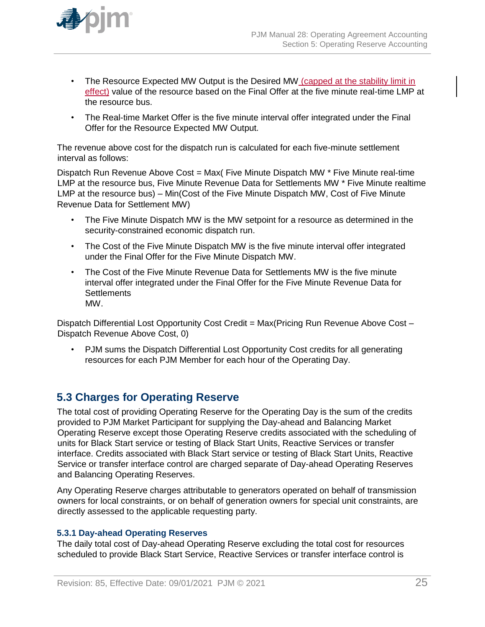

- The Resource Expected MW Output is the Desired MW (capped at the stability limit in effect) value of the resource based on the Final Offer at the five minute real-time LMP at the resource bus.
- The Real-time Market Offer is the five minute interval offer integrated under the Final Offer for the Resource Expected MW Output*.*

The revenue above cost for the dispatch run is calculated for each five-minute settlement interval as follows:

Dispatch Run Revenue Above Cost = Max( Five Minute Dispatch MW \* Five Minute real-time LMP at the resource bus, Five Minute Revenue Data for Settlements MW \* Five Minute realtime LMP at the resource bus) – Min(Cost of the Five Minute Dispatch MW, Cost of Five Minute Revenue Data for Settlement MW)

- The Five Minute Dispatch MW is the MW setpoint for a resource as determined in the security-constrained economic dispatch run.
- The Cost of the Five Minute Dispatch MW is the five minute interval offer integrated under the Final Offer for the Five Minute Dispatch MW.
- The Cost of the Five Minute Revenue Data for Settlements MW is the five minute interval offer integrated under the Final Offer for the Five Minute Revenue Data for **Settlements** MW.

Dispatch Differential Lost Opportunity Cost Credit = Max(Pricing Run Revenue Above Cost -Dispatch Revenue Above Cost, 0)

• PJM sums the Dispatch Differential Lost Opportunity Cost credits for all generating resources for each PJM Member for each hour of the Operating Day.

# **5.3 Charges for Operating Reserve**

The total cost of providing Operating Reserve for the Operating Day is the sum of the credits provided to PJM Market Participant for supplying the Day-ahead and Balancing Market Operating Reserve except those Operating Reserve credits associated with the scheduling of units for Black Start service or testing of Black Start Units, Reactive Services or transfer interface. Credits associated with Black Start service or testing of Black Start Units, Reactive Service or transfer interface control are charged separate of Day-ahead Operating Reserves and Balancing Operating Reserves.

Any Operating Reserve charges attributable to generators operated on behalf of transmission owners for local constraints, or on behalf of generation owners for special unit constraints, are directly assessed to the applicable requesting party.

#### **5.3.1 Day-ahead Operating Reserves**

The daily total cost of Day-ahead Operating Reserve excluding the total cost for resources scheduled to provide Black Start Service, Reactive Services or transfer interface control is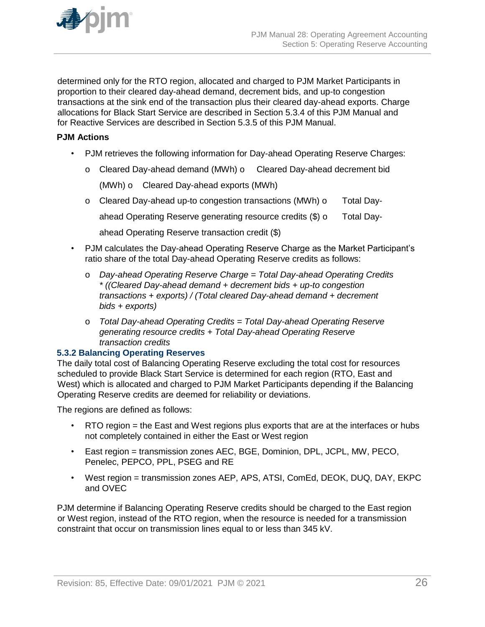

determined only for the RTO region, allocated and charged to PJM Market Participants in proportion to their cleared day-ahead demand, decrement bids, and up-to congestion transactions at the sink end of the transaction plus their cleared day-ahead exports. Charge allocations for Black Start Service are described in Section 5.3.4 of this PJM Manual and for Reactive Services are described in Section 5.3.5 of this PJM Manual.

#### **PJM Actions**

- PJM retrieves the following information for Day-ahead Operating Reserve Charges:
	- o Cleared Day-ahead demand (MWh) o Cleared Day-ahead decrement bid

(MWh) o Cleared Day-ahead exports (MWh)

o Cleared Day-ahead up-to congestion transactions (MWh) o Total Day-

ahead Operating Reserve generating resource credits (\$) o Total Day-

ahead Operating Reserve transaction credit (\$)

- PJM calculates the Day-ahead Operating Reserve Charge as the Market Participant's ratio share of the total Day-ahead Operating Reserve credits as follows:
	- o *Day-ahead Operating Reserve Charge = Total Day-ahead Operating Credits \* ((Cleared Day-ahead demand + decrement bids + up-to congestion transactions + exports) / (Total cleared Day-ahead demand + decrement bids + exports)*
	- o *Total Day-ahead Operating Credits = Total Day-ahead Operating Reserve generating resource credits + Total Day-ahead Operating Reserve transaction credits*

### **5.3.2 Balancing Operating Reserves**

The daily total cost of Balancing Operating Reserve excluding the total cost for resources scheduled to provide Black Start Service is determined for each region (RTO, East and West) which is allocated and charged to PJM Market Participants depending if the Balancing Operating Reserve credits are deemed for reliability or deviations.

The regions are defined as follows:

- RTO region = the East and West regions plus exports that are at the interfaces or hubs not completely contained in either the East or West region
- East region = transmission zones AEC, BGE, Dominion, DPL, JCPL, MW, PECO, Penelec, PEPCO, PPL, PSEG and RE
- West region = transmission zones AEP, APS, ATSI, ComEd, DEOK, DUQ, DAY, EKPC and OVEC

PJM determine if Balancing Operating Reserve credits should be charged to the East region or West region, instead of the RTO region, when the resource is needed for a transmission constraint that occur on transmission lines equal to or less than 345 kV.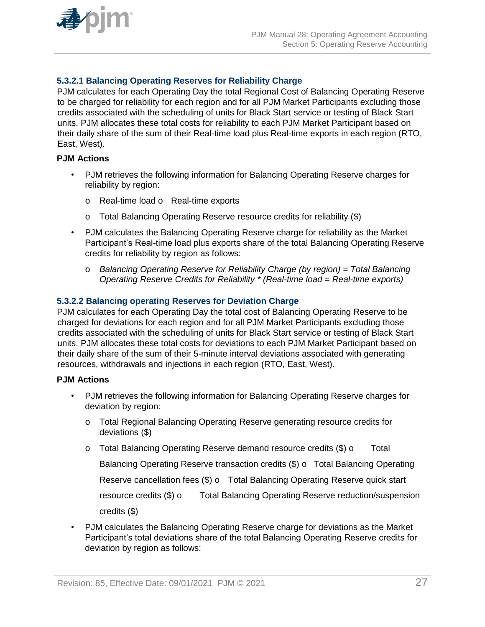

### **5.3.2.1 Balancing Operating Reserves for Reliability Charge**

PJM calculates for each Operating Day the total Regional Cost of Balancing Operating Reserve to be charged for reliability for each region and for all PJM Market Participants excluding those credits associated with the scheduling of units for Black Start service or testing of Black Start units. PJM allocates these total costs for reliability to each PJM Market Participant based on their daily share of the sum of their Real-time load plus Real-time exports in each region (RTO, East, West).

### **PJM Actions**

- PJM retrieves the following information for Balancing Operating Reserve charges for reliability by region:
	- o Real-time load o Real-time exports
	- o Total Balancing Operating Reserve resource credits for reliability (\$)
- PJM calculates the Balancing Operating Reserve charge for reliability as the Market Participant's Real-time load plus exports share of the total Balancing Operating Reserve credits for reliability by region as follows:
	- o *Balancing Operating Reserve for Reliability Charge (by region) = Total Balancing Operating Reserve Credits for Reliability \* (Real-time load = Real-time exports)*

#### **5.3.2.2 Balancing operating Reserves for Deviation Charge**

PJM calculates for each Operating Day the total cost of Balancing Operating Reserve to be charged for deviations for each region and for all PJM Market Participants excluding those credits associated with the scheduling of units for Black Start service or testing of Black Start units. PJM allocates these total costs for deviations to each PJM Market Participant based on their daily share of the sum of their 5-minute interval deviations associated with generating resources, withdrawals and injections in each region (RTO, East, West).

#### **PJM Actions**

- PJM retrieves the following information for Balancing Operating Reserve charges for deviation by region:
	- o Total Regional Balancing Operating Reserve generating resource credits for deviations (\$)
	- o Total Balancing Operating Reserve demand resource credits (\$) o Total Balancing Operating Reserve transaction credits (\$) o Total Balancing Operating Reserve cancellation fees (\$) o Total Balancing Operating Reserve quick start resource credits (\$) o Total Balancing Operating Reserve reduction/suspension credits (\$)
- PJM calculates the Balancing Operating Reserve charge for deviations as the Market Participant's total deviations share of the total Balancing Operating Reserve credits for deviation by region as follows: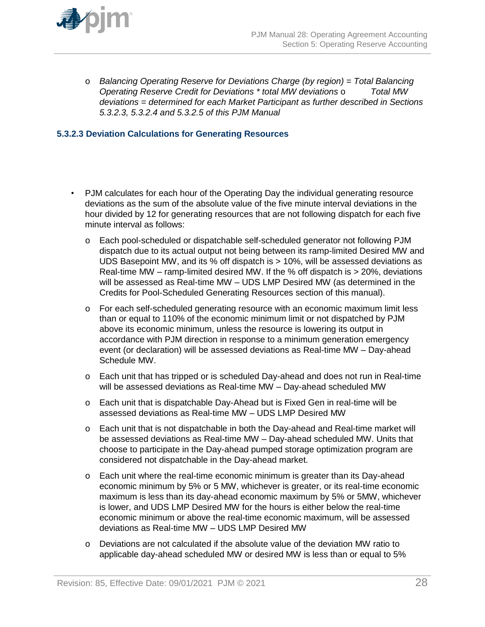

o *Balancing Operating Reserve for Deviations Charge (by region) = Total Balancing Operating Reserve Credit for Deviations \* total MW deviations* o *Total MW deviations = determined for each Market Participant as further described in Sections 5.3.2.3, 5.3.2.4 and 5.3.2.5 of this PJM Manual*

#### **5.3.2.3 Deviation Calculations for Generating Resources**

- PJM calculates for each hour of the Operating Day the individual generating resource deviations as the sum of the absolute value of the five minute interval deviations in the hour divided by 12 for generating resources that are not following dispatch for each five minute interval as follows:
	- o Each pool-scheduled or dispatchable self-scheduled generator not following PJM dispatch due to its actual output not being between its ramp-limited Desired MW and UDS Basepoint MW, and its % off dispatch is > 10%, will be assessed deviations as Real-time MW – ramp-limited desired MW. If the % off dispatch is > 20%, deviations will be assessed as Real-time MW – UDS LMP Desired MW (as determined in the Credits for Pool-Scheduled Generating Resources section of this manual).
	- o For each self-scheduled generating resource with an economic maximum limit less than or equal to 110% of the economic minimum limit or not dispatched by PJM above its economic minimum, unless the resource is lowering its output in accordance with PJM direction in response to a minimum generation emergency event (or declaration) will be assessed deviations as Real-time MW – Day-ahead Schedule MW.
	- o Each unit that has tripped or is scheduled Day-ahead and does not run in Real-time will be assessed deviations as Real-time MW – Day-ahead scheduled MW
	- o Each unit that is dispatchable Day-Ahead but is Fixed Gen in real-time will be assessed deviations as Real-time MW – UDS LMP Desired MW
	- o Each unit that is not dispatchable in both the Day-ahead and Real-time market will be assessed deviations as Real-time MW – Day-ahead scheduled MW. Units that choose to participate in the Day-ahead pumped storage optimization program are considered not dispatchable in the Day-ahead market.
	- o Each unit where the real-time economic minimum is greater than its Day-ahead economic minimum by 5% or 5 MW, whichever is greater, or its real-time economic maximum is less than its day-ahead economic maximum by 5% or 5MW, whichever is lower, and UDS LMP Desired MW for the hours is either below the real-time economic minimum or above the real-time economic maximum, will be assessed deviations as Real-time MW – UDS LMP Desired MW
	- o Deviations are not calculated if the absolute value of the deviation MW ratio to applicable day-ahead scheduled MW or desired MW is less than or equal to 5%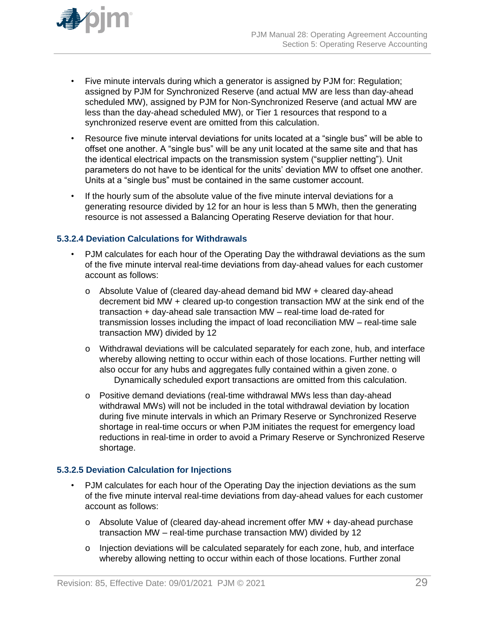

- Five minute intervals during which a generator is assigned by PJM for: Regulation; assigned by PJM for Synchronized Reserve (and actual MW are less than day-ahead scheduled MW), assigned by PJM for Non-Synchronized Reserve (and actual MW are less than the day-ahead scheduled MW), or Tier 1 resources that respond to a synchronized reserve event are omitted from this calculation.
- Resource five minute interval deviations for units located at a "single bus" will be able to offset one another. A "single bus" will be any unit located at the same site and that has the identical electrical impacts on the transmission system ("supplier netting"). Unit parameters do not have to be identical for the units' deviation MW to offset one another. Units at a "single bus" must be contained in the same customer account.
- If the hourly sum of the absolute value of the five minute interval deviations for a generating resource divided by 12 for an hour is less than 5 MWh, then the generating resource is not assessed a Balancing Operating Reserve deviation for that hour.

#### **5.3.2.4 Deviation Calculations for Withdrawals**

- PJM calculates for each hour of the Operating Day the withdrawal deviations as the sum of the five minute interval real-time deviations from day-ahead values for each customer account as follows:
	- o Absolute Value of (cleared day-ahead demand bid MW + cleared day-ahead decrement bid MW + cleared up-to congestion transaction MW at the sink end of the transaction + day-ahead sale transaction MW – real-time load de-rated for transmission losses including the impact of load reconciliation MW – real-time sale transaction MW) divided by 12
	- o Withdrawal deviations will be calculated separately for each zone, hub, and interface whereby allowing netting to occur within each of those locations. Further netting will also occur for any hubs and aggregates fully contained within a given zone. o Dynamically scheduled export transactions are omitted from this calculation.
	- o Positive demand deviations (real-time withdrawal MWs less than day-ahead withdrawal MWs) will not be included in the total withdrawal deviation by location during five minute intervals in which an Primary Reserve or Synchronized Reserve shortage in real-time occurs or when PJM initiates the request for emergency load reductions in real-time in order to avoid a Primary Reserve or Synchronized Reserve shortage.

### **5.3.2.5 Deviation Calculation for Injections**

- PJM calculates for each hour of the Operating Day the injection deviations as the sum of the five minute interval real-time deviations from day-ahead values for each customer account as follows:
	- o Absolute Value of (cleared day-ahead increment offer MW + day-ahead purchase transaction MW – real-time purchase transaction MW) divided by 12
	- o Injection deviations will be calculated separately for each zone, hub, and interface whereby allowing netting to occur within each of those locations. Further zonal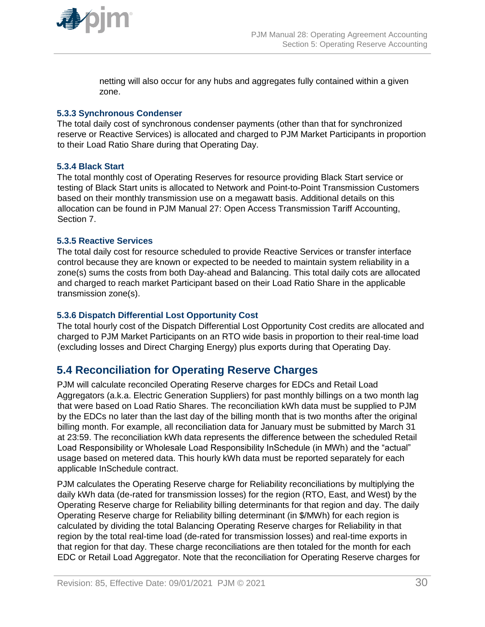

netting will also occur for any hubs and aggregates fully contained within a given zone.

#### **5.3.3 Synchronous Condenser**

The total daily cost of synchronous condenser payments (other than that for synchronized reserve or Reactive Services) is allocated and charged to PJM Market Participants in proportion to their Load Ratio Share during that Operating Day.

#### **5.3.4 Black Start**

The total monthly cost of Operating Reserves for resource providing Black Start service or testing of Black Start units is allocated to Network and Point-to-Point Transmission Customers based on their monthly transmission use on a megawatt basis. Additional details on this allocation can be found in PJM Manual 27: Open Access Transmission Tariff Accounting, Section 7.

#### **5.3.5 Reactive Services**

The total daily cost for resource scheduled to provide Reactive Services or transfer interface control because they are known or expected to be needed to maintain system reliability in a zone(s) sums the costs from both Day-ahead and Balancing. This total daily cots are allocated and charged to reach market Participant based on their Load Ratio Share in the applicable transmission zone(s).

#### **5.3.6 Dispatch Differential Lost Opportunity Cost**

The total hourly cost of the Dispatch Differential Lost Opportunity Cost credits are allocated and charged to PJM Market Participants on an RTO wide basis in proportion to their real-time load (excluding losses and Direct Charging Energy) plus exports during that Operating Day.

# **5.4 Reconciliation for Operating Reserve Charges**

PJM will calculate reconciled Operating Reserve charges for EDCs and Retail Load Aggregators (a.k.a. Electric Generation Suppliers) for past monthly billings on a two month lag that were based on Load Ratio Shares. The reconciliation kWh data must be supplied to PJM by the EDCs no later than the last day of the billing month that is two months after the original billing month. For example, all reconciliation data for January must be submitted by March 31 at 23:59. The reconciliation kWh data represents the difference between the scheduled Retail Load Responsibility or Wholesale Load Responsibility InSchedule (in MWh) and the "actual" usage based on metered data. This hourly kWh data must be reported separately for each applicable InSchedule contract.

PJM calculates the Operating Reserve charge for Reliability reconciliations by multiplying the daily kWh data (de-rated for transmission losses) for the region (RTO, East, and West) by the Operating Reserve charge for Reliability billing determinants for that region and day. The daily Operating Reserve charge for Reliability billing determinant (in \$/MWh) for each region is calculated by dividing the total Balancing Operating Reserve charges for Reliability in that region by the total real-time load (de-rated for transmission losses) and real-time exports in that region for that day. These charge reconciliations are then totaled for the month for each EDC or Retail Load Aggregator. Note that the reconciliation for Operating Reserve charges for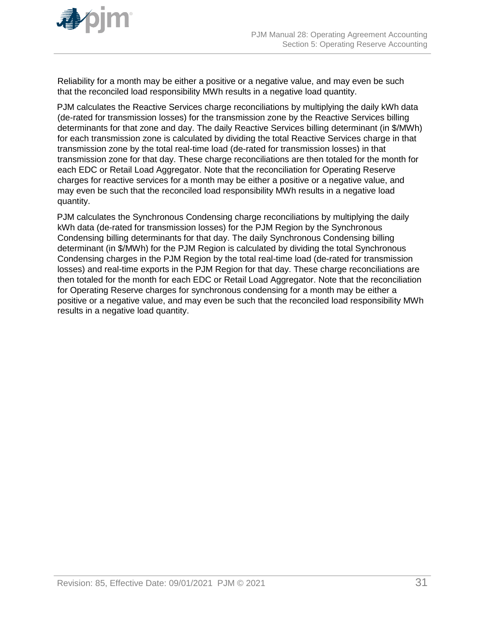

Reliability for a month may be either a positive or a negative value, and may even be such that the reconciled load responsibility MWh results in a negative load quantity.

PJM calculates the Reactive Services charge reconciliations by multiplying the daily kWh data (de-rated for transmission losses) for the transmission zone by the Reactive Services billing determinants for that zone and day. The daily Reactive Services billing determinant (in \$/MWh) for each transmission zone is calculated by dividing the total Reactive Services charge in that transmission zone by the total real-time load (de-rated for transmission losses) in that transmission zone for that day. These charge reconciliations are then totaled for the month for each EDC or Retail Load Aggregator. Note that the reconciliation for Operating Reserve charges for reactive services for a month may be either a positive or a negative value, and may even be such that the reconciled load responsibility MWh results in a negative load quantity.

PJM calculates the Synchronous Condensing charge reconciliations by multiplying the daily kWh data (de-rated for transmission losses) for the PJM Region by the Synchronous Condensing billing determinants for that day. The daily Synchronous Condensing billing determinant (in \$/MWh) for the PJM Region is calculated by dividing the total Synchronous Condensing charges in the PJM Region by the total real-time load (de-rated for transmission losses) and real-time exports in the PJM Region for that day. These charge reconciliations are then totaled for the month for each EDC or Retail Load Aggregator. Note that the reconciliation for Operating Reserve charges for synchronous condensing for a month may be either a positive or a negative value, and may even be such that the reconciled load responsibility MWh results in a negative load quantity.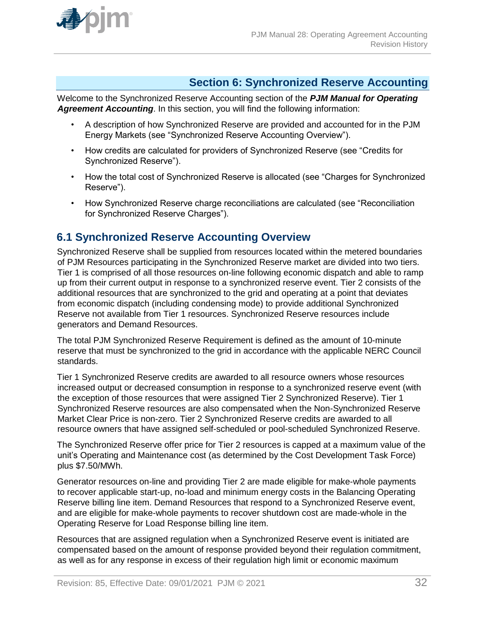

# **Section 6: Synchronized Reserve Accounting**

Welcome to the Synchronized Reserve Accounting section of the *PJM Manual for Operating Agreement Accounting*. In this section, you will find the following information:

- A description of how Synchronized Reserve are provided and accounted for in the PJM Energy Markets (see "Synchronized Reserve Accounting Overview").
- How credits are calculated for providers of Synchronized Reserve (see "Credits for Synchronized Reserve").
- How the total cost of Synchronized Reserve is allocated (see "Charges for Synchronized Reserve").
- How Synchronized Reserve charge reconciliations are calculated (see "Reconciliation for Synchronized Reserve Charges").

# **6.1 Synchronized Reserve Accounting Overview**

Synchronized Reserve shall be supplied from resources located within the metered boundaries of PJM Resources participating in the Synchronized Reserve market are divided into two tiers. Tier 1 is comprised of all those resources on-line following economic dispatch and able to ramp up from their current output in response to a synchronized reserve event. Tier 2 consists of the additional resources that are synchronized to the grid and operating at a point that deviates from economic dispatch (including condensing mode) to provide additional Synchronized Reserve not available from Tier 1 resources. Synchronized Reserve resources include generators and Demand Resources.

The total PJM Synchronized Reserve Requirement is defined as the amount of 10-minute reserve that must be synchronized to the grid in accordance with the applicable NERC Council standards.

Tier 1 Synchronized Reserve credits are awarded to all resource owners whose resources increased output or decreased consumption in response to a synchronized reserve event (with the exception of those resources that were assigned Tier 2 Synchronized Reserve). Tier 1 Synchronized Reserve resources are also compensated when the Non-Synchronized Reserve Market Clear Price is non-zero. Tier 2 Synchronized Reserve credits are awarded to all resource owners that have assigned self-scheduled or pool-scheduled Synchronized Reserve.

The Synchronized Reserve offer price for Tier 2 resources is capped at a maximum value of the unit's Operating and Maintenance cost (as determined by the Cost Development Task Force) plus \$7.50/MWh.

Generator resources on-line and providing Tier 2 are made eligible for make-whole payments to recover applicable start-up, no-load and minimum energy costs in the Balancing Operating Reserve billing line item. Demand Resources that respond to a Synchronized Reserve event, and are eligible for make-whole payments to recover shutdown cost are made-whole in the Operating Reserve for Load Response billing line item.

Resources that are assigned regulation when a Synchronized Reserve event is initiated are compensated based on the amount of response provided beyond their regulation commitment, as well as for any response in excess of their regulation high limit or economic maximum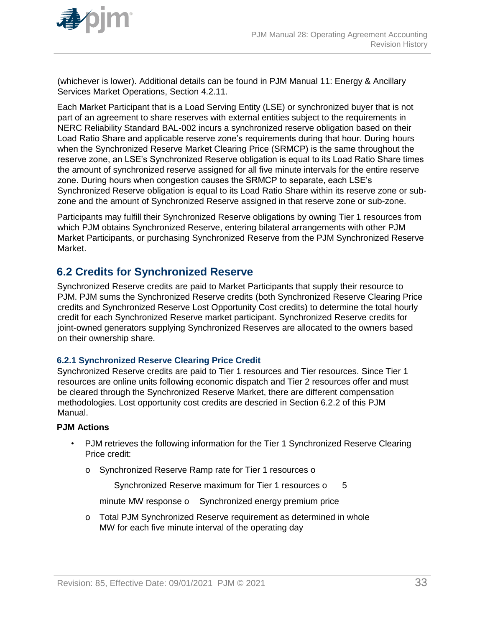

(whichever is lower). Additional details can be found in PJM Manual 11: Energy & Ancillary Services Market Operations, Section 4.2.11.

Each Market Participant that is a Load Serving Entity (LSE) or synchronized buyer that is not part of an agreement to share reserves with external entities subject to the requirements in NERC Reliability Standard BAL-002 incurs a synchronized reserve obligation based on their Load Ratio Share and applicable reserve zone's requirements during that hour. During hours when the Synchronized Reserve Market Clearing Price (SRMCP) is the same throughout the reserve zone, an LSE's Synchronized Reserve obligation is equal to its Load Ratio Share times the amount of synchronized reserve assigned for all five minute intervals for the entire reserve zone. During hours when congestion causes the SRMCP to separate, each LSE's Synchronized Reserve obligation is equal to its Load Ratio Share within its reserve zone or subzone and the amount of Synchronized Reserve assigned in that reserve zone or sub-zone.

Participants may fulfill their Synchronized Reserve obligations by owning Tier 1 resources from which PJM obtains Synchronized Reserve, entering bilateral arrangements with other PJM Market Participants, or purchasing Synchronized Reserve from the PJM Synchronized Reserve Market.

# **6.2 Credits for Synchronized Reserve**

Synchronized Reserve credits are paid to Market Participants that supply their resource to PJM. PJM sums the Synchronized Reserve credits (both Synchronized Reserve Clearing Price credits and Synchronized Reserve Lost Opportunity Cost credits) to determine the total hourly credit for each Synchronized Reserve market participant. Synchronized Reserve credits for joint-owned generators supplying Synchronized Reserves are allocated to the owners based on their ownership share.

#### **6.2.1 Synchronized Reserve Clearing Price Credit**

Synchronized Reserve credits are paid to Tier 1 resources and Tier resources. Since Tier 1 resources are online units following economic dispatch and Tier 2 resources offer and must be cleared through the Synchronized Reserve Market, there are different compensation methodologies. Lost opportunity cost credits are descried in Section 6.2.2 of this PJM Manual.

#### **PJM Actions**

- PJM retrieves the following information for the Tier 1 Synchronized Reserve Clearing Price credit:
	- o Synchronized Reserve Ramp rate for Tier 1 resources o

Synchronized Reserve maximum for Tier 1 resources o 5

minute MW response o Synchronized energy premium price

o Total PJM Synchronized Reserve requirement as determined in whole MW for each five minute interval of the operating day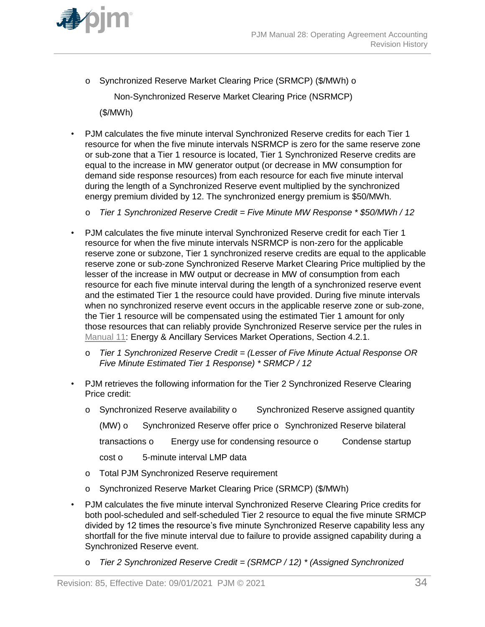

o Synchronized Reserve Market Clearing Price (SRMCP) (\$/MWh) o

Non-Synchronized Reserve Market Clearing Price (NSRMCP)

(\$/MWh)

- PJM calculates the five minute interval Synchronized Reserve credits for each Tier 1 resource for when the five minute intervals NSRMCP is zero for the same reserve zone or sub-zone that a Tier 1 resource is located, Tier 1 Synchronized Reserve credits are equal to the increase in MW generator output (or decrease in MW consumption for demand side response resources) from each resource for each five minute interval during the length of a Synchronized Reserve event multiplied by the synchronized energy premium divided by 12. The synchronized energy premium is \$50/MWh.
	- o *Tier 1 Synchronized Reserve Credit = Five Minute MW Response \* \$50/MWh / 12*
- PJM calculates the five minute interval Synchronized Reserve credit for each Tier 1 resource for when the five minute intervals NSRMCP is non-zero for the applicable reserve zone or subzone, Tier 1 synchronized reserve credits are equal to the applicable reserve zone or sub-zone Synchronized Reserve Market Clearing Price multiplied by the lesser of the increase in MW output or decrease in MW of consumption from each resource for each five minute interval during the length of a synchronized reserve event and the estimated Tier 1 the resource could have provided. During five minute intervals when no synchronized reserve event occurs in the applicable reserve zone or sub-zone, the Tier 1 resource will be compensated using the estimated Tier 1 amount for only those resources that can reliably provide Synchronized Reserve service per the rules in [Manual 11:](http://pjm.com/~/media/documents/manuals/m11.ashx) Energy & Ancillary Services Market Operations, Section 4.2.1.
	- o *Tier 1 Synchronized Reserve Credit = (Lesser of Five Minute Actual Response OR Five Minute Estimated Tier 1 Response) \* SRMCP / 12*
- PJM retrieves the following information for the Tier 2 Synchronized Reserve Clearing Price credit:
	- o Synchronized Reserve availability o Synchronized Reserve assigned quantity

(MW) o Synchronized Reserve offer price o Synchronized Reserve bilateral

transactions o Energy use for condensing resource o Condense startup

- cost o 5-minute interval LMP data
- o Total PJM Synchronized Reserve requirement
- o Synchronized Reserve Market Clearing Price (SRMCP) (\$/MWh)
- PJM calculates the five minute interval Synchronized Reserve Clearing Price credits for both pool-scheduled and self-scheduled Tier 2 resource to equal the five minute SRMCP divided by 12 times the resource's five minute Synchronized Reserve capability less any shortfall for the five minute interval due to failure to provide assigned capability during a Synchronized Reserve event.
	- o *Tier 2 Synchronized Reserve Credit = (SRMCP / 12) \* (Assigned Synchronized*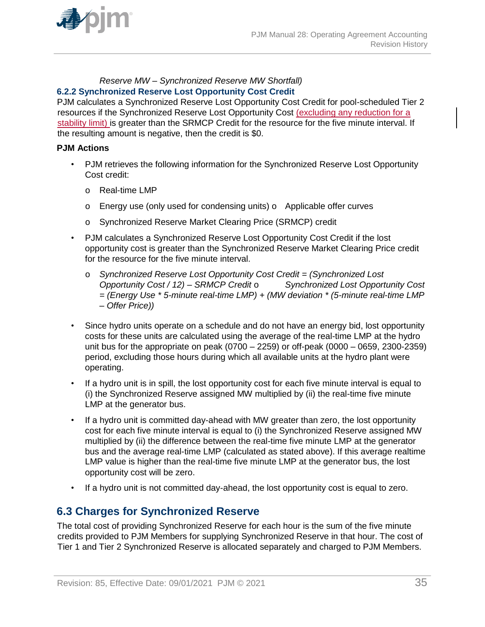

#### *Reserve MW – Synchronized Reserve MW Shortfall)* **6.2.2 Synchronized Reserve Lost Opportunity Cost Credit**

PJM calculates a Synchronized Reserve Lost Opportunity Cost Credit for pool-scheduled Tier 2 resources if the Synchronized Reserve Lost Opportunity Cost (excluding any reduction for a stability limit) is greater than the SRMCP Credit for the resource for the five minute interval. If the resulting amount is negative, then the credit is \$0.

### **PJM Actions**

- PJM retrieves the following information for the Synchronized Reserve Lost Opportunity Cost credit:
	- o Real-time LMP
	- o Energy use (only used for condensing units) o Applicable offer curves
	- o Synchronized Reserve Market Clearing Price (SRMCP) credit
- PJM calculates a Synchronized Reserve Lost Opportunity Cost Credit if the lost opportunity cost is greater than the Synchronized Reserve Market Clearing Price credit for the resource for the five minute interval.
	- o *Synchronized Reserve Lost Opportunity Cost Credit = (Synchronized Lost Opportunity Cost / 12) – SRMCP Credit* o *Synchronized Lost Opportunity Cost = (Energy Use \* 5-minute real-time LMP) + (MW deviation \* (5-minute real-time LMP – Offer Price))*
- Since hydro units operate on a schedule and do not have an energy bid, lost opportunity costs for these units are calculated using the average of the real-time LMP at the hydro unit bus for the appropriate on peak (0700 – 2259) or off-peak (0000 – 0659, 2300-2359) period, excluding those hours during which all available units at the hydro plant were operating.
- If a hydro unit is in spill, the lost opportunity cost for each five minute interval is equal to (i) the Synchronized Reserve assigned MW multiplied by (ii) the real-time five minute LMP at the generator bus.
- If a hydro unit is committed day-ahead with MW greater than zero, the lost opportunity cost for each five minute interval is equal to (i) the Synchronized Reserve assigned MW multiplied by (ii) the difference between the real-time five minute LMP at the generator bus and the average real-time LMP (calculated as stated above). If this average realtime LMP value is higher than the real-time five minute LMP at the generator bus, the lost opportunity cost will be zero.
- If a hydro unit is not committed day-ahead, the lost opportunity cost is equal to zero.

# **6.3 Charges for Synchronized Reserve**

The total cost of providing Synchronized Reserve for each hour is the sum of the five minute credits provided to PJM Members for supplying Synchronized Reserve in that hour. The cost of Tier 1 and Tier 2 Synchronized Reserve is allocated separately and charged to PJM Members.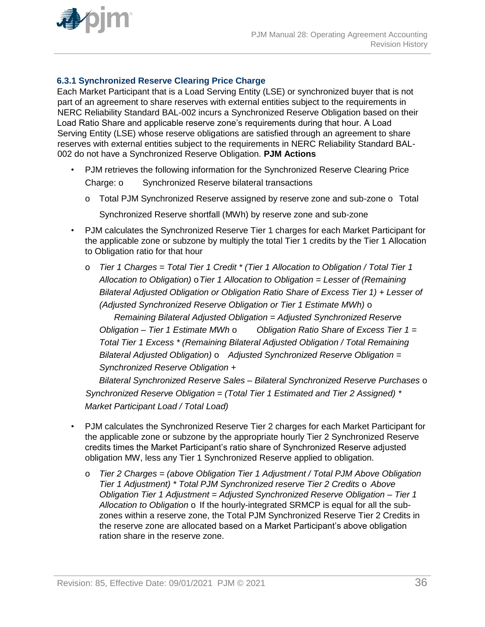

## **6.3.1 Synchronized Reserve Clearing Price Charge**

Each Market Participant that is a Load Serving Entity (LSE) or synchronized buyer that is not part of an agreement to share reserves with external entities subject to the requirements in NERC Reliability Standard BAL-002 incurs a Synchronized Reserve Obligation based on their Load Ratio Share and applicable reserve zone's requirements during that hour. A Load Serving Entity (LSE) whose reserve obligations are satisfied through an agreement to share reserves with external entities subject to the requirements in NERC Reliability Standard BAL-002 do not have a Synchronized Reserve Obligation. **PJM Actions**

- PJM retrieves the following information for the Synchronized Reserve Clearing Price Charge: o Synchronized Reserve bilateral transactions
	- o Total PJM Synchronized Reserve assigned by reserve zone and sub-zone o Total Synchronized Reserve shortfall (MWh) by reserve zone and sub-zone
- PJM calculates the Synchronized Reserve Tier 1 charges for each Market Participant for the applicable zone or subzone by multiply the total Tier 1 credits by the Tier 1 Allocation to Obligation ratio for that hour
	- o *Tier 1 Charges = Total Tier 1 Credit \* (Tier 1 Allocation to Obligation / Total Tier 1 Allocation to Obligation)* o*Tier 1 Allocation to Obligation = Lesser of (Remaining Bilateral Adjusted Obligation or Obligation Ratio Share of Excess Tier 1) + Lesser of (Adjusted Synchronized Reserve Obligation or Tier 1 Estimate MWh)* o

*Remaining Bilateral Adjusted Obligation = Adjusted Synchronized Reserve Obligation – Tier 1 Estimate MWh* o *Obligation Ratio Share of Excess Tier 1 = Total Tier 1 Excess \* (Remaining Bilateral Adjusted Obligation / Total Remaining Bilateral Adjusted Obligation)* o *Adjusted Synchronized Reserve Obligation = Synchronized Reserve Obligation +*

*Bilateral Synchronized Reserve Sales – Bilateral Synchronized Reserve Purchases* o *Synchronized Reserve Obligation = (Total Tier 1 Estimated and Tier 2 Assigned) \* Market Participant Load / Total Load)*

- PJM calculates the Synchronized Reserve Tier 2 charges for each Market Participant for the applicable zone or subzone by the appropriate hourly Tier 2 Synchronized Reserve credits times the Market Participant's ratio share of Synchronized Reserve adjusted obligation MW, less any Tier 1 Synchronized Reserve applied to obligation.
	- o *Tier 2 Charges = (above Obligation Tier 1 Adjustment / Total PJM Above Obligation Tier 1 Adjustment)* \* Total PJM Synchronized reserve Tier 2 Credits o Above *Obligation Tier 1 Adjustment = Adjusted Synchronized Reserve Obligation – Tier 1 Allocation to Obligation* o If the hourly-integrated SRMCP is equal for all the subzones within a reserve zone, the Total PJM Synchronized Reserve Tier 2 Credits in the reserve zone are allocated based on a Market Participant's above obligation ration share in the reserve zone.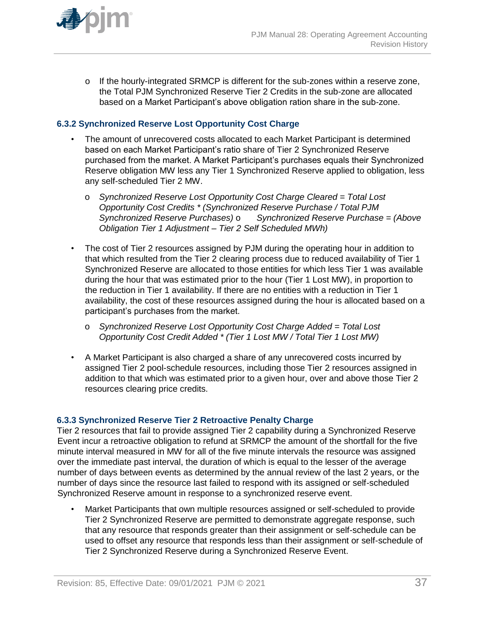

o If the hourly-integrated SRMCP is different for the sub-zones within a reserve zone, the Total PJM Synchronized Reserve Tier 2 Credits in the sub-zone are allocated based on a Market Participant's above obligation ration share in the sub-zone.

### **6.3.2 Synchronized Reserve Lost Opportunity Cost Charge**

- The amount of unrecovered costs allocated to each Market Participant is determined based on each Market Participant's ratio share of Tier 2 Synchronized Reserve purchased from the market. A Market Participant's purchases equals their Synchronized Reserve obligation MW less any Tier 1 Synchronized Reserve applied to obligation, less any self-scheduled Tier 2 MW.
	- o *Synchronized Reserve Lost Opportunity Cost Charge Cleared = Total Lost Opportunity Cost Credits \* (Synchronized Reserve Purchase / Total PJM Synchronized Reserve Purchases)* o *Synchronized Reserve Purchase = (Above Obligation Tier 1 Adjustment – Tier 2 Self Scheduled MWh)*
- The cost of Tier 2 resources assigned by PJM during the operating hour in addition to that which resulted from the Tier 2 clearing process due to reduced availability of Tier 1 Synchronized Reserve are allocated to those entities for which less Tier 1 was available during the hour that was estimated prior to the hour (Tier 1 Lost MW), in proportion to the reduction in Tier 1 availability. If there are no entities with a reduction in Tier 1 availability, the cost of these resources assigned during the hour is allocated based on a participant's purchases from the market.
	- o *Synchronized Reserve Lost Opportunity Cost Charge Added = Total Lost Opportunity Cost Credit Added \* (Tier 1 Lost MW / Total Tier 1 Lost MW)*
- A Market Participant is also charged a share of any unrecovered costs incurred by assigned Tier 2 pool-schedule resources, including those Tier 2 resources assigned in addition to that which was estimated prior to a given hour, over and above those Tier 2 resources clearing price credits.

#### **6.3.3 Synchronized Reserve Tier 2 Retroactive Penalty Charge**

Tier 2 resources that fail to provide assigned Tier 2 capability during a Synchronized Reserve Event incur a retroactive obligation to refund at SRMCP the amount of the shortfall for the five minute interval measured in MW for all of the five minute intervals the resource was assigned over the immediate past interval, the duration of which is equal to the lesser of the average number of days between events as determined by the annual review of the last 2 years, or the number of days since the resource last failed to respond with its assigned or self-scheduled Synchronized Reserve amount in response to a synchronized reserve event.

• Market Participants that own multiple resources assigned or self-scheduled to provide Tier 2 Synchronized Reserve are permitted to demonstrate aggregate response, such that any resource that responds greater than their assignment or self-schedule can be used to offset any resource that responds less than their assignment or self-schedule of Tier 2 Synchronized Reserve during a Synchronized Reserve Event.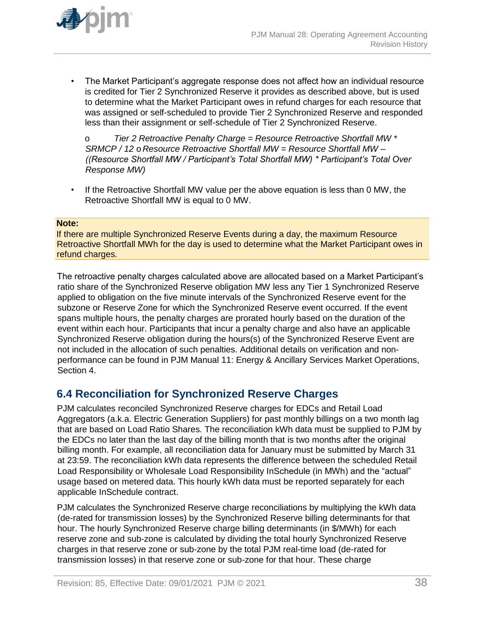

• The Market Participant's aggregate response does not affect how an individual resource is credited for Tier 2 Synchronized Reserve it provides as described above, but is used to determine what the Market Participant owes in refund charges for each resource that was assigned or self-scheduled to provide Tier 2 Synchronized Reserve and responded less than their assignment or self-schedule of Tier 2 Synchronized Reserve.

o *Tier 2 Retroactive Penalty Charge = Resource Retroactive Shortfall MW \* SRMCP / 12* o *Resource Retroactive Shortfall MW = Resource Shortfall MW – ((Resource Shortfall MW / Participant's Total Shortfall MW) \* Participant's Total Over Response MW)*

• If the Retroactive Shortfall MW value per the above equation is less than 0 MW, the Retroactive Shortfall MW is equal to 0 MW.

#### **Note:**

If there are multiple Synchronized Reserve Events during a day, the maximum Resource Retroactive Shortfall MWh for the day is used to determine what the Market Participant owes in refund charges.

The retroactive penalty charges calculated above are allocated based on a Market Participant's ratio share of the Synchronized Reserve obligation MW less any Tier 1 Synchronized Reserve applied to obligation on the five minute intervals of the Synchronized Reserve event for the subzone or Reserve Zone for which the Synchronized Reserve event occurred. If the event spans multiple hours, the penalty charges are prorated hourly based on the duration of the event within each hour. Participants that incur a penalty charge and also have an applicable Synchronized Reserve obligation during the hours(s) of the Synchronized Reserve Event are not included in the allocation of such penalties. Additional details on verification and nonperformance can be found in PJM Manual 11: Energy & Ancillary Services Market Operations, Section 4.

# **6.4 Reconciliation for Synchronized Reserve Charges**

PJM calculates reconciled Synchronized Reserve charges for EDCs and Retail Load Aggregators (a.k.a. Electric Generation Suppliers) for past monthly billings on a two month lag that are based on Load Ratio Shares. The reconciliation kWh data must be supplied to PJM by the EDCs no later than the last day of the billing month that is two months after the original billing month. For example, all reconciliation data for January must be submitted by March 31 at 23:59. The reconciliation kWh data represents the difference between the scheduled Retail Load Responsibility or Wholesale Load Responsibility InSchedule (in MWh) and the "actual" usage based on metered data. This hourly kWh data must be reported separately for each applicable InSchedule contract.

PJM calculates the Synchronized Reserve charge reconciliations by multiplying the kWh data (de-rated for transmission losses) by the Synchronized Reserve billing determinants for that hour. The hourly Synchronized Reserve charge billing determinants (in \$/MWh) for each reserve zone and sub-zone is calculated by dividing the total hourly Synchronized Reserve charges in that reserve zone or sub-zone by the total PJM real-time load (de-rated for transmission losses) in that reserve zone or sub-zone for that hour. These charge